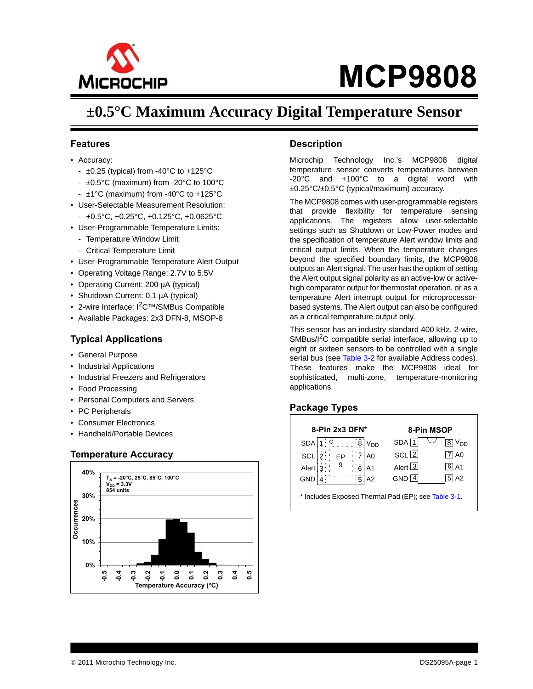

## **±0.5°C Maximum Accuracy Digital Temperature Sensor**

#### **Features**

- Accuracy:
	- $-$  ±0.25 (typical) from -40°C to +125°C
	- ±0.5°C (maximum) from -20°C to 100°C
	- ±1°C (maximum) from -40°C to +125°C
- User-Selectable Measurement Resolution:
	- +0.5°C, +0.25°C, +0.125°C, +0.0625°C
- User-Programmable Temperature Limits:
	- Temperature Window Limit
	- Critical Temperature Limit
- User-Programmable Temperature Alert Output
- Operating Voltage Range: 2.7V to 5.5V
- Operating Current: 200 µA (typical)
- Shutdown Current: 0.1 µA (typical)
- 2-wire Interface: I<sup>2</sup>C™/SMBus Compatible
- Available Packages: 2x3 DFN-8, MSOP-8

### **Typical Applications**

- General Purpose
- Industrial Applications
- Industrial Freezers and Refrigerators
- Food Processing
- Personal Computers and Servers
- PC Peripherals
- Consumer Electronics
- Handheld/Portable Devices

#### **Temperature Accuracy**



#### **Description**

Microchip Technology Inc.'s MCP9808 digital temperature sensor converts temperatures between -20°C and +100°C to a digital word with ±0.25°C/±0.5°C (typical/maximum) accuracy.

The MCP9808 comes with user-programmable registers that provide flexibility for temperature sensing applications. The registers allow user-selectable settings such as Shutdown or Low-Power modes and the specification of temperature Alert window limits and critical output limits. When the temperature changes beyond the specified boundary limits, the MCP9808 outputs an Alert signal. The user has the option of setting the Alert output signal polarity as an active-low or activehigh comparator output for thermostat operation, or as a temperature Alert interrupt output for microprocessorbased systems. The Alert output can also be configured as a critical temperature output only.

This sensor has an industry standard 400 kHz, 2-wire, SMBus/I<sup>2</sup>C compatible serial interface, allowing up to eight or sixteen sensors to be controlled with a single serial bus (see [Table 3-2](#page-10-0) for available Address codes). These features make the MCP9808 ideal for sophisticated, multi-zone, temperature-monitoring applications.

### **Package Types**

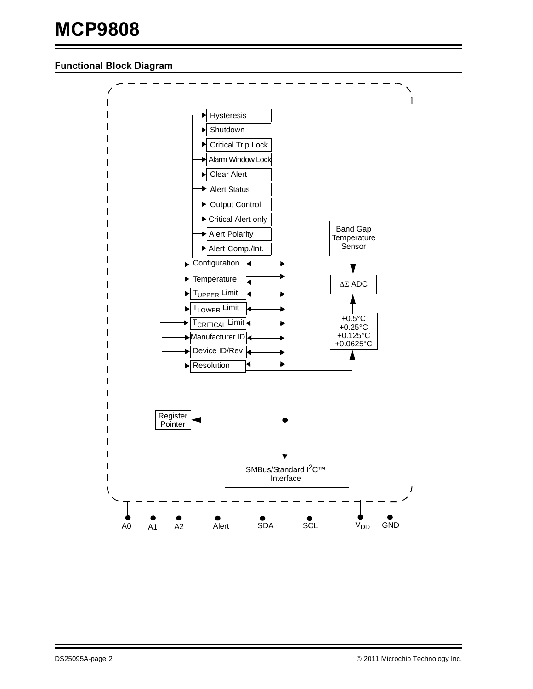### **Functional Block Diagram**

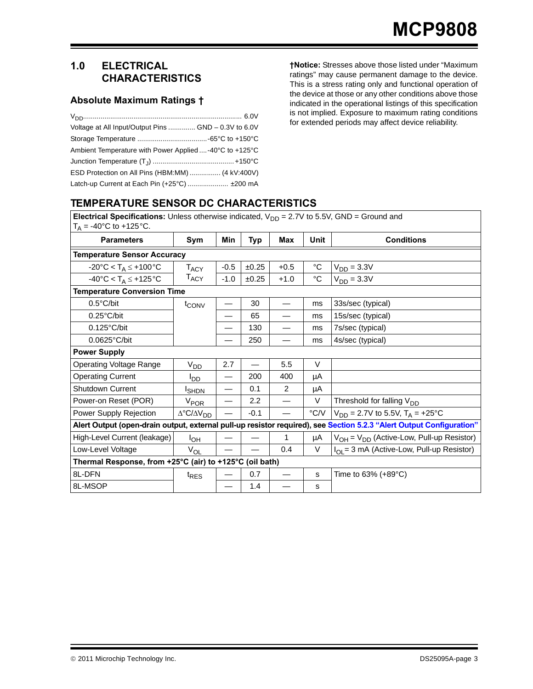## **1.0 ELECTRICAL CHARACTERISTICS**

### **Absolute Maximum Ratings †**

| Voltage at All Input/Output Pins  GND - 0.3V to 6.0V   |  |
|--------------------------------------------------------|--|
|                                                        |  |
| Ambient Temperature with Power Applied -40°C to +125°C |  |
|                                                        |  |
| ESD Protection on All Pins (HBM:MM)  (4 kV:400V)       |  |
| Latch-up Current at Each Pin (+25°C)  ±200 mA          |  |

**†Notice:** Stresses above those listed under "Maximum ratings" may cause permanent damage to the device. This is a stress rating only and functional operation of the device at those or any other conditions above those indicated in the operational listings of this specification is not implied. Exposure to maximum rating conditions for extended periods may affect device reliability.

## **TEMPERATURE SENSOR DC CHARACTERISTICS**

**Electrical Specifications:** Unless otherwise indicated,  $V_{DD} = 2.7V$  to 5.5V, GND = Ground and  $10^{\circ}$ C to  $125^{\circ}$ C

| $I_A = -40$ C to $T120$ C.                              |                                       |        |        |        |             |                                                                                                                      |  |  |  |  |  |  |  |  |
|---------------------------------------------------------|---------------------------------------|--------|--------|--------|-------------|----------------------------------------------------------------------------------------------------------------------|--|--|--|--|--|--|--|--|
| <b>Parameters</b>                                       | Sym                                   | Min    | Typ    | Max    | <b>Unit</b> | <b>Conditions</b>                                                                                                    |  |  |  |  |  |  |  |  |
|                                                         | <b>Temperature Sensor Accuracy</b>    |        |        |        |             |                                                                                                                      |  |  |  |  |  |  |  |  |
| $-20^{\circ}$ C < T <sub>A</sub> $\le$ +100 °C          | $T_{\text{ACY}}$                      | $-0.5$ | ±0.25  | $+0.5$ | $^{\circ}C$ | $V_{DD} = 3.3V$                                                                                                      |  |  |  |  |  |  |  |  |
| $-40^{\circ}$ C < T <sub>A</sub> $\le$ +125 °C          | $\mathsf{T}_{\mathsf{ACY}}$           | $-1.0$ | ±0.25  | $+1.0$ | $^{\circ}C$ | $V_{DD} = 3.3V$                                                                                                      |  |  |  |  |  |  |  |  |
| <b>Temperature Conversion Time</b>                      |                                       |        |        |        |             |                                                                                                                      |  |  |  |  |  |  |  |  |
| $0.5^{\circ}$ C/bit                                     | t <sub>CONV</sub>                     |        | 30     |        | ms          | 33s/sec (typical)                                                                                                    |  |  |  |  |  |  |  |  |
| $0.25^{\circ}$ C/bit                                    |                                       |        | 65     | —      | ms          | 15s/sec (typical)                                                                                                    |  |  |  |  |  |  |  |  |
| $0.125^{\circ}$ C/bit                                   |                                       | —      | 130    | —      | ms          | 7s/sec (typical)                                                                                                     |  |  |  |  |  |  |  |  |
| $0.0625^{\circ}$ C/bit                                  |                                       |        | 250    |        | ms          | 4s/sec (typical)                                                                                                     |  |  |  |  |  |  |  |  |
| <b>Power Supply</b>                                     |                                       |        |        |        |             |                                                                                                                      |  |  |  |  |  |  |  |  |
| <b>Operating Voltage Range</b>                          | V <sub>DD</sub>                       | 2.7    |        | 5.5    | $\vee$      |                                                                                                                      |  |  |  |  |  |  |  |  |
| <b>Operating Current</b>                                | $I_{DD}$                              |        | 200    | 400    | μA          |                                                                                                                      |  |  |  |  |  |  |  |  |
| Shutdown Current                                        | <sup>I</sup> SHDN                     |        | 0.1    | 2      | μA          |                                                                                                                      |  |  |  |  |  |  |  |  |
| Power-on Reset (POR)                                    | V <sub>POR</sub>                      |        | 2.2    |        | V           | Threshold for falling V <sub>DD</sub>                                                                                |  |  |  |  |  |  |  |  |
| Power Supply Rejection                                  | $\Delta$ °C/ $\Delta$ V <sub>DD</sub> |        | $-0.1$ |        | °C/V        | $V_{DD}$ = 2.7V to 5.5V, T <sub>A</sub> = +25°C                                                                      |  |  |  |  |  |  |  |  |
|                                                         |                                       |        |        |        |             | Alert Output (open-drain output, external pull-up resistor required), see Section 5.2.3 "Alert Output Configuration" |  |  |  |  |  |  |  |  |
| High-Level Current (leakage)                            | I <sub>OH</sub>                       |        |        | 1      | μA          | $V_{OH} = V_{DD}$ (Active-Low, Pull-up Resistor)                                                                     |  |  |  |  |  |  |  |  |
| Low-Level Voltage                                       | $V_{OL}$                              |        |        | 0.4    | V           | $I_{OL}$ = 3 mA (Active-Low, Pull-up Resistor)                                                                       |  |  |  |  |  |  |  |  |
| Thermal Response, from +25°C (air) to +125°C (oil bath) |                                       |        |        |        |             |                                                                                                                      |  |  |  |  |  |  |  |  |
| 8L-DFN                                                  | t <sub>RES</sub>                      |        | 0.7    |        | s           | Time to $63\%$ (+89 $^{\circ}$ C)                                                                                    |  |  |  |  |  |  |  |  |
| 8L-MSOP                                                 |                                       |        | 1.4    |        | s           |                                                                                                                      |  |  |  |  |  |  |  |  |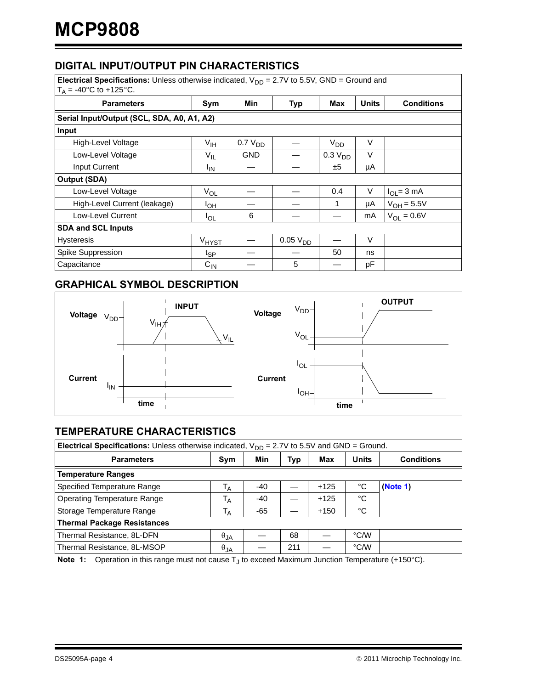## <span id="page-3-1"></span>**DIGITAL INPUT/OUTPUT PIN CHARACTERISTICS**

| <b>Electrical Specifications:</b> Unless otherwise indicated, $V_{DD} = 2.7V$ to 5.5V, GND = Ground and<br>$T_A = -40$ °C to +125 °C. |                 |                     |                 |                     |              |                   |  |  |  |  |  |  |
|---------------------------------------------------------------------------------------------------------------------------------------|-----------------|---------------------|-----------------|---------------------|--------------|-------------------|--|--|--|--|--|--|
| <b>Parameters</b>                                                                                                                     | Sym             | Min                 | <b>Typ</b>      | Max                 | <b>Units</b> | <b>Conditions</b> |  |  |  |  |  |  |
| Serial Input/Output (SCL, SDA, A0, A1, A2)                                                                                            |                 |                     |                 |                     |              |                   |  |  |  |  |  |  |
| Input                                                                                                                                 |                 |                     |                 |                     |              |                   |  |  |  |  |  |  |
| High-Level Voltage                                                                                                                    | $V_{\text{IH}}$ | 0.7 V <sub>DD</sub> |                 | V <sub>DD</sub>     | $\vee$       |                   |  |  |  |  |  |  |
| Low-Level Voltage                                                                                                                     | $V_{IL}$        | <b>GND</b>          |                 | 0.3 V <sub>DD</sub> | $\vee$       |                   |  |  |  |  |  |  |
| <b>Input Current</b>                                                                                                                  | <sup>I</sup> IN |                     |                 | ±5                  | μA           |                   |  |  |  |  |  |  |
| <b>Output (SDA)</b>                                                                                                                   |                 |                     |                 |                     |              |                   |  |  |  |  |  |  |
| Low-Level Voltage                                                                                                                     | $V_{OL}$        |                     |                 | 0.4                 | $\vee$       | $I_{OL} = 3$ mA   |  |  |  |  |  |  |
| High-Level Current (leakage)                                                                                                          | I <sub>OH</sub> |                     |                 | 1                   | μA           | $V_{OH} = 5.5V$   |  |  |  |  |  |  |
| Low-Level Current                                                                                                                     | <b>I</b> OL     | 6                   |                 |                     | mA           | $V_{OL} = 0.6V$   |  |  |  |  |  |  |
| <b>SDA and SCL Inputs</b>                                                                                                             |                 |                     |                 |                     |              |                   |  |  |  |  |  |  |
| <b>Hysteresis</b>                                                                                                                     | $V_{HYSI}$      |                     | $0.05$ $V_{DD}$ |                     | $\vee$       |                   |  |  |  |  |  |  |
| Spike Suppression                                                                                                                     | t <sub>SP</sub> |                     |                 | 50                  | ns           |                   |  |  |  |  |  |  |
| Capacitance                                                                                                                           | $C_{IN}$        |                     | 5               |                     | рF           |                   |  |  |  |  |  |  |

## **GRAPHICAL SYMBOL DESCRIPTION**



## **TEMPERATURE CHARACTERISTICS**

| <b>Electrical Specifications:</b> Unless otherwise indicated, $V_{DD} = 2.7V$ to 5.5V and GND = Ground. |                |     |            |        |               |                   |  |  |  |  |  |
|---------------------------------------------------------------------------------------------------------|----------------|-----|------------|--------|---------------|-------------------|--|--|--|--|--|
| <b>Parameters</b>                                                                                       | Sym            | Min | <b>Typ</b> | Max    | <b>Units</b>  | <b>Conditions</b> |  |  |  |  |  |
| <b>Temperature Ranges</b>                                                                               |                |     |            |        |               |                   |  |  |  |  |  |
| Specified Temperature Range                                                                             | $T_A$          | -40 |            | $+125$ | °C            | (Note 1)          |  |  |  |  |  |
| <b>Operating Temperature Range</b>                                                                      | Т <sub>А</sub> | -40 |            | $+125$ | °C            |                   |  |  |  |  |  |
| Storage Temperature Range                                                                               | $T_A$          | -65 |            | $+150$ | °C            |                   |  |  |  |  |  |
| <b>Thermal Package Resistances</b>                                                                      |                |     |            |        |               |                   |  |  |  |  |  |
| Thermal Resistance, 8L-DFN                                                                              | $\theta_{JA}$  |     | 68         |        | $\degree$ C/W |                   |  |  |  |  |  |
| Thermal Resistance, 8L-MSOP                                                                             | $\theta_{JA}$  |     | 211        |        | °C/W          |                   |  |  |  |  |  |

<span id="page-3-0"></span>**Note 1:** Operation in this range must not cause T<sub>J</sub> to exceed Maximum Junction Temperature (+150°C).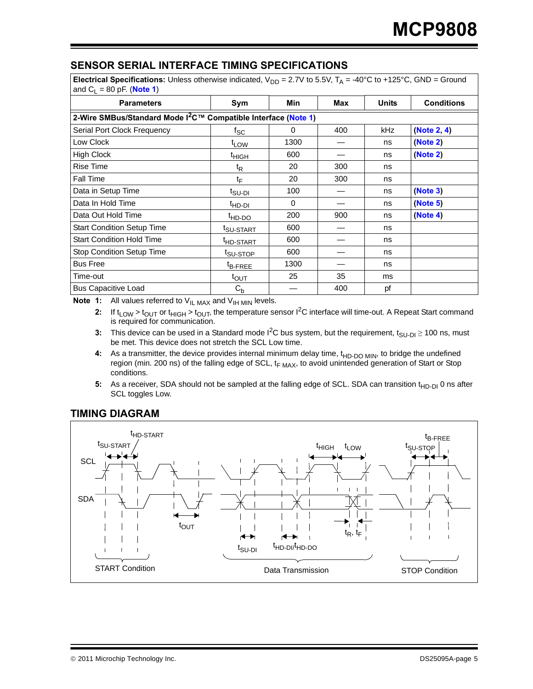## <span id="page-4-5"></span>**SENSOR SERIAL INTERFACE TIMING SPECIFICATIONS**

**Electrical Specifications:** Unless otherwise indicated,  $V_{DD} = 2.7V$  to 5.5V,  $T_A = -40^{\circ}C$  to +125°C, GND = Ground and  $C_1 = 80$  pF. (**[Note 1](#page-4-0)**)

| <b>Parameters</b>                                                          | Sym                   | Min      | Max | <b>Units</b> | <b>Conditions</b> |  |  |  |  |  |  |  |
|----------------------------------------------------------------------------|-----------------------|----------|-----|--------------|-------------------|--|--|--|--|--|--|--|
| 2-Wire SMBus/Standard Mode I <sup>2</sup> C™ Compatible Interface (Note 1) |                       |          |     |              |                   |  |  |  |  |  |  |  |
| Serial Port Clock Frequency                                                | tsc                   | 0        | 400 | kHz          | (Note 2, 4)       |  |  |  |  |  |  |  |
| Low Clock                                                                  | t <sub>LOW</sub>      | 1300     |     | ns           | (Note 2)          |  |  |  |  |  |  |  |
| <b>High Clock</b>                                                          | <sup>t</sup> HIGH     | 600      |     | ns           | (Note 2)          |  |  |  |  |  |  |  |
| Rise Time                                                                  | t <sub>R</sub>        | 20       | 300 | ns           |                   |  |  |  |  |  |  |  |
| Fall Time                                                                  | tF                    | 20       | 300 | ns           |                   |  |  |  |  |  |  |  |
| Data in Setup Time                                                         | t <sub>SU-DI</sub>    | 100      |     | ns           | (Note 3)          |  |  |  |  |  |  |  |
| Data In Hold Time                                                          | <sup>t</sup> HD-DI    | $\Omega$ |     | ns           | (Note 5)          |  |  |  |  |  |  |  |
| Data Out Hold Time                                                         | <sup>t</sup> HD-DO    | 200      | 900 | ns           | (Note 4)          |  |  |  |  |  |  |  |
| <b>Start Condition Setup Time</b>                                          | <sup>t</sup> SU-START | 600      |     | ns           |                   |  |  |  |  |  |  |  |
| <b>Start Condition Hold Time</b>                                           | <sup>t</sup> HD-START | 600      |     | ns           |                   |  |  |  |  |  |  |  |
| <b>Stop Condition Setup Time</b>                                           | t <sub>SU-STOP</sub>  | 600      |     | ns           |                   |  |  |  |  |  |  |  |
| <b>Bus Free</b>                                                            | $t_{\text{B-FREE}}$   | 1300     |     | ns           |                   |  |  |  |  |  |  |  |
| Time-out                                                                   | $t_{\text{OUT}}$      | 25       | 35  | ms           |                   |  |  |  |  |  |  |  |
| <b>Bus Capacitive Load</b>                                                 | $C_{b}$               |          | 400 | рf           |                   |  |  |  |  |  |  |  |

<span id="page-4-1"></span><span id="page-4-0"></span>**Note 1:** All values referred to  $V_{IL\,MAX}$  and  $V_{IH\,MIN}$  levels.

2: If  $t_{LOW} > t_{OUT}$  or  $t_{HIGH} > t_{OUT}$ , the temperature sensor  $I^2C$  interface will time-out. A Repeat Start command is required for communication.

- <span id="page-4-2"></span>**3:** This device can be used in a Standard mode  $I^2C$  bus system, but the requirement,  $t_{SU-DI} \ge 100$  ns, must be met. This device does not stretch the SCL Low time.
- <span id="page-4-4"></span>4: As a transmitter, the device provides internal minimum delay time, t<sub>HD-DO MIN</sub>, to bridge the undefined region (min. 200 ns) of the falling edge of SCL,  $t_{F MAX}$ , to avoid unintended generation of Start or Stop conditions.
- <span id="page-4-3"></span>5: As a receiver, SDA should not be sampled at the falling edge of SCL. SDA can transition t<sub>HD-DI</sub> 0 ns after SCL toggles Low.



### **TIMING DIAGRAM**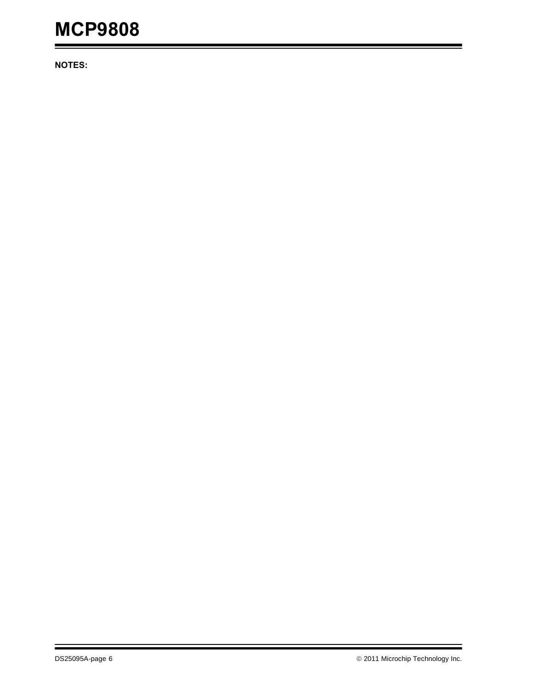**NOTES:**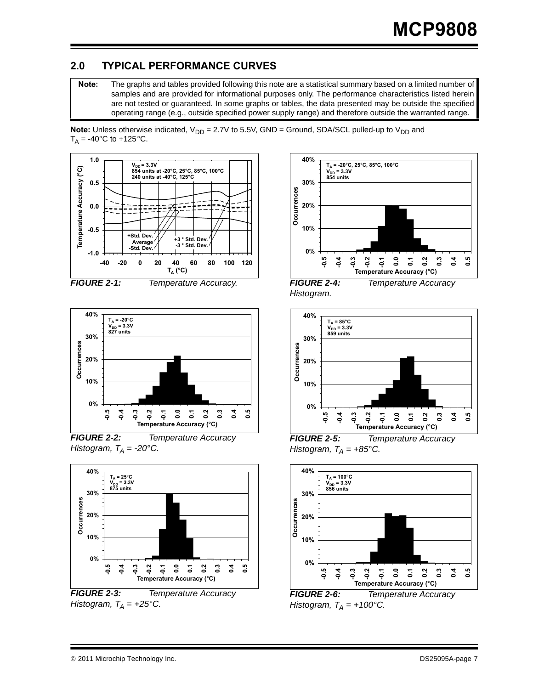## **2.0 TYPICAL PERFORMANCE CURVES**

**Note:** The graphs and tables provided following this note are a statistical summary based on a limited number of samples and are provided for informational purposes only. The performance characteristics listed herein are not tested or guaranteed. In some graphs or tables, the data presented may be outside the specified operating range (e.g., outside specified power supply range) and therefore outside the warranted range.

**Note:** Unless otherwise indicated,  $V_{DD} = 2.7V$  to 5.5V, GND = Ground, SDA/SCL pulled-up to  $V_{DD}$  and  $T_A = -40$ °C to  $+125$ °C.

**0.5**



 **0% -0.5 -0.4 -0.3 -0.2 -0.1 0.0 0.1 0.2 0.3 0.4 Temperature Accuracy (°C)**

*FIGURE 2-2: Temperature Accuracy Histogram,*  $T_A = -20$ °C.



*FIGURE 2-3: Temperature Accuracy Histogram,*  $T_A = +25^{\circ}C$ .



*Histogram.*



*FIGURE 2-5: Temperature Accuracy Histogram,*  $T_A = +85^{\circ}$ C.



*Histogram,*  $T_A = +100^{\circ}C$ .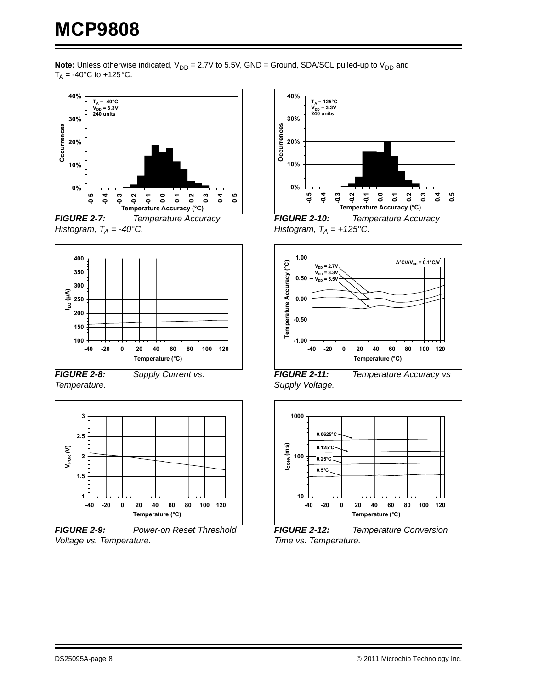**Note:** Unless otherwise indicated,  $V_{DD} = 2.7V$  to 5.5V, GND = Ground, SDA/SCL pulled-up to  $V_{DD}$  and  $T_A = -40$ °C to  $+125$ °C.



*FIGURE 2-7: Temperature Accuracy Histogram,*  $T_A = -40^{\circ}$ C.



*FIGURE 2-8: Supply Current vs. Temperature.*



*FIGURE 2-9: Power-on Reset Threshold Voltage vs. Temperature.*



*FIGURE 2-10: Temperature Accuracy Histogram,*  $T_A = +125^{\circ}C$ .



*FIGURE 2-11: Temperature Accuracy vs Supply Voltage.*



*FIGURE 2-12: Temperature Conversion Time vs. Temperature.*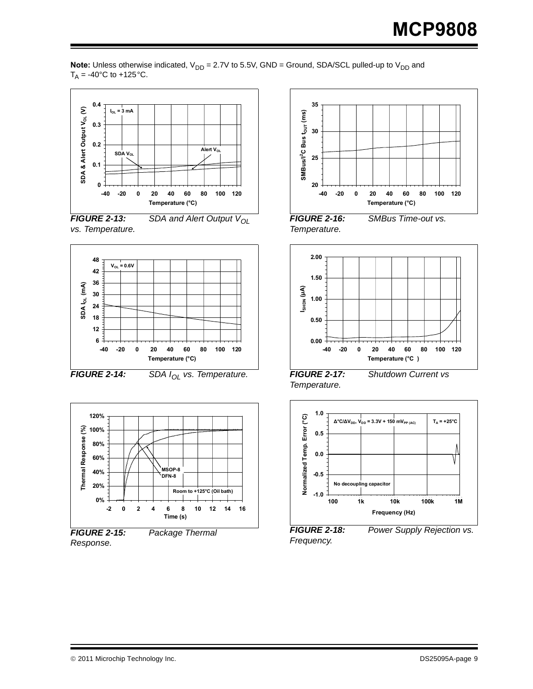**Note:** Unless otherwise indicated,  $V_{DD} = 2.7V$  to 5.5V, GND = Ground, SDA/SCL pulled-up to  $V_{DD}$  and  $T_A = -40$ °C to  $+125$ °C.











*Response.*



*FIGURE 2-16: SMBus Time-out vs. Temperature.*



*FIGURE 2-17: Shutdown Current vs Temperature.*



*Frequency.*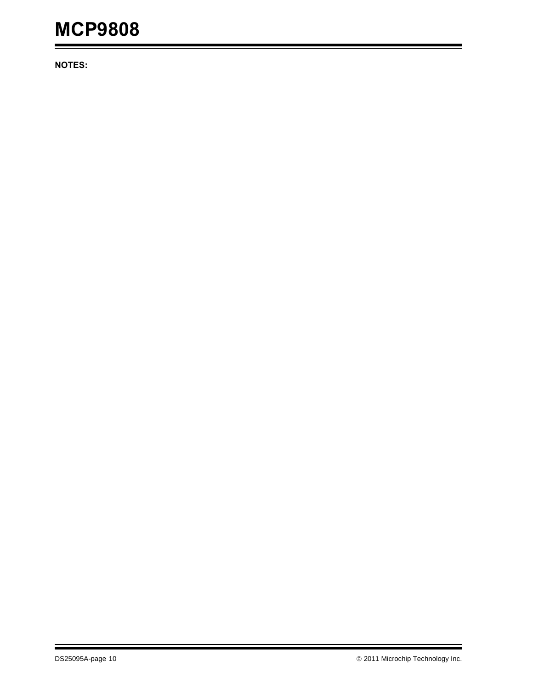**NOTES:**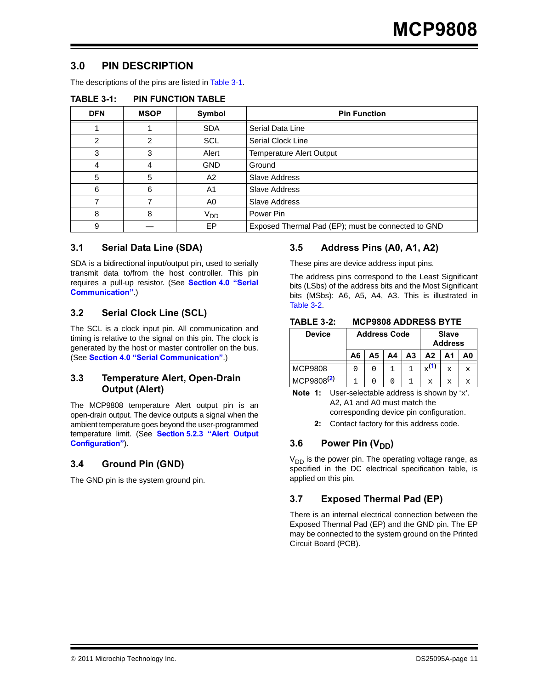## **3.0 PIN DESCRIPTION**

The descriptions of the pins are listed in [Table 3-1.](#page-10-1)

| <b>DFN</b>     | <b>MSOP</b> | Symbol          | <b>Pin Function</b>                                |
|----------------|-------------|-----------------|----------------------------------------------------|
|                |             | <b>SDA</b>      | Serial Data Line                                   |
| $\mathfrak{p}$ | 2           | <b>SCL</b>      | Serial Clock Line                                  |
| 3              | 3           | Alert           | <b>Temperature Alert Output</b>                    |
| 4              | 4           | <b>GND</b>      | Ground                                             |
| 5              | 5           | A2              | <b>Slave Address</b>                               |
| 6              | 6           | A <sub>1</sub>  | Slave Address                                      |
|                |             | A0              | Slave Address                                      |
| 8              | 8           | V <sub>DD</sub> | Power Pin                                          |
| 9              |             | EP              | Exposed Thermal Pad (EP); must be connected to GND |

#### <span id="page-10-1"></span>**TABLE 3-1: PIN FUNCTION TABLE**

#### **3.1 Serial Data Line (SDA)**

SDA is a bidirectional input/output pin, used to serially transmit data to/from the host controller. This pin requires a pull-up resistor. (See **[Section 4.0 "Serial](#page-12-0) [Communication"](#page-12-0)**.)

### **3.2 Serial Clock Line (SCL)**

The SCL is a clock input pin. All communication and timing is relative to the signal on this pin. The clock is generated by the host or master controller on the bus. (See **[Section 4.0 "Serial Communication"](#page-12-0)**.)

#### **3.3 Temperature Alert, Open-Drain Output (Alert)**

The MCP9808 temperature Alert output pin is an open-drain output. The device outputs a signal when the ambient temperature goes beyond the user-programmed temperature limit. (See **[Section 5.2.3 "Alert Output](#page-29-0) [Configuration"](#page-29-0)**).

#### **3.4 Ground Pin (GND)**

The GND pin is the system ground pin.

### **3.5 Address Pins (A0, A1, A2)**

These pins are device address input pins.

The address pins correspond to the Least Significant bits (LSbs) of the address bits and the Most Significant bits (MSbs): A6, A5, A4, A3. This is illustrated in [Table 3-2.](#page-10-0)

<span id="page-10-0"></span>**TABLE 3-2: MCP9808 ADDRESS BYTE**

| <b>Device</b>          |    |    | <b>Address Code</b><br><b>Slave</b><br><b>Address</b> |    |                    |    |              |
|------------------------|----|----|-------------------------------------------------------|----|--------------------|----|--------------|
|                        | A6 | Α5 | Α4                                                    | A2 | Α1                 | A0 |              |
| <b>MCP9808</b>         |    |    |                                                       |    | $\mathbf{x}^{(1)}$ | X  | $\mathbf{x}$ |
| MCP9808 <sup>(2)</sup> |    |    |                                                       |    | X                  | x  | X            |

<span id="page-10-2"></span>**Note 1:** User-selectable address is shown by 'x'. A2, A1 and A0 must match the corresponding device pin configuration.

**2:** Contact factory for this address code.

## <span id="page-10-3"></span>**3.6** Power Pin (V<sub>DD</sub>)

 $V<sub>DD</sub>$  is the power pin. The operating voltage range, as specified in the DC electrical specification table, is applied on this pin.

### **3.7 Exposed Thermal Pad (EP)**

There is an internal electrical connection between the Exposed Thermal Pad (EP) and the GND pin. The EP may be connected to the system ground on the Printed Circuit Board (PCB).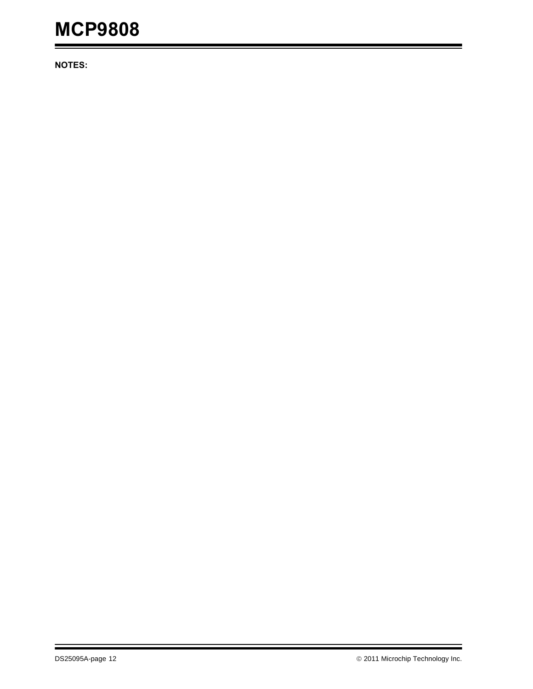**NOTES:**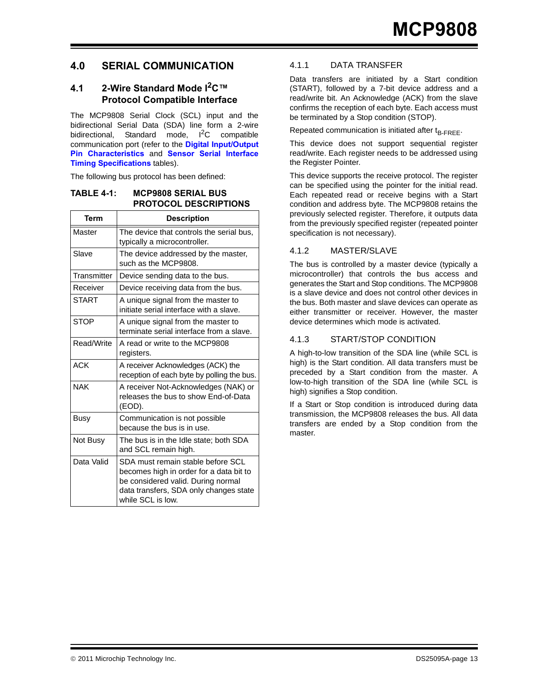### <span id="page-12-0"></span>**4.0 SERIAL COMMUNICATION**

### **4.1 2-Wire Standard Mode I2C™ Protocol Compatible Interface**

The MCP9808 Serial Clock (SCL) input and the bidirectional Serial Data (SDA) line form a 2-wire bidirectional, Standard mode, I<sup>2</sup>C compatible communication port (refer to the **[Digital Input/Output](#page-3-1) [Pin Characteristics](#page-3-1)** and **[Sensor Serial Interface](#page-4-5) [Timing Specifications](#page-4-5)** tables).

The following bus protocol has been defined:

#### **TABLE 4-1: MCP9808 SERIAL BUS PROTOCOL DESCRIPTIONS**

| Term         | <b>Description</b>                                                                                                                                                                |
|--------------|-----------------------------------------------------------------------------------------------------------------------------------------------------------------------------------|
| Master       | The device that controls the serial bus,<br>typically a microcontroller.                                                                                                          |
| Slave        | The device addressed by the master,<br>such as the MCP9808.                                                                                                                       |
| Transmitter  | Device sending data to the bus.                                                                                                                                                   |
| Receiver     | Device receiving data from the bus.                                                                                                                                               |
| <b>START</b> | A unique signal from the master to<br>initiate serial interface with a slave.                                                                                                     |
| <b>STOP</b>  | A unique signal from the master to<br>terminate serial interface from a slave.                                                                                                    |
| Read/Write   | A read or write to the MCP9808<br>registers.                                                                                                                                      |
| <b>ACK</b>   | A receiver Acknowledges (ACK) the<br>reception of each byte by polling the bus.                                                                                                   |
| <b>NAK</b>   | A receiver Not-Acknowledges (NAK) or<br>releases the bus to show End-of-Data<br>(EOD).                                                                                            |
| Busy         | Communication is not possible<br>because the bus is in use.                                                                                                                       |
| Not Busy     | The bus is in the Idle state; both SDA<br>and SCL remain high.                                                                                                                    |
| Data Valid   | SDA must remain stable before SCL<br>becomes high in order for a data bit to<br>be considered valid. During normal<br>data transfers, SDA only changes state<br>while SCL is low. |

#### 4.1.1 DATA TRANSFER

Data transfers are initiated by a Start condition (START), followed by a 7-bit device address and a read/write bit. An Acknowledge (ACK) from the slave confirms the reception of each byte. Each access must be terminated by a Stop condition (STOP).

Repeated communication is initiated after  $t_{\text{B-FREF}}$ .

This device does not support sequential register read/write. Each register needs to be addressed using the Register Pointer.

This device supports the receive protocol. The register can be specified using the pointer for the initial read. Each repeated read or receive begins with a Start condition and address byte. The MCP9808 retains the previously selected register. Therefore, it outputs data from the previously specified register (repeated pointer specification is not necessary).

#### 4.1.2 MASTER/SLAVE

The bus is controlled by a master device (typically a microcontroller) that controls the bus access and generates the Start and Stop conditions. The MCP9808 is a slave device and does not control other devices in the bus. Both master and slave devices can operate as either transmitter or receiver. However, the master device determines which mode is activated.

#### 4.1.3 START/STOP CONDITION

A high-to-low transition of the SDA line (while SCL is high) is the Start condition. All data transfers must be preceded by a Start condition from the master. A low-to-high transition of the SDA line (while SCL is high) signifies a Stop condition.

If a Start or Stop condition is introduced during data transmission, the MCP9808 releases the bus. All data transfers are ended by a Stop condition from the master.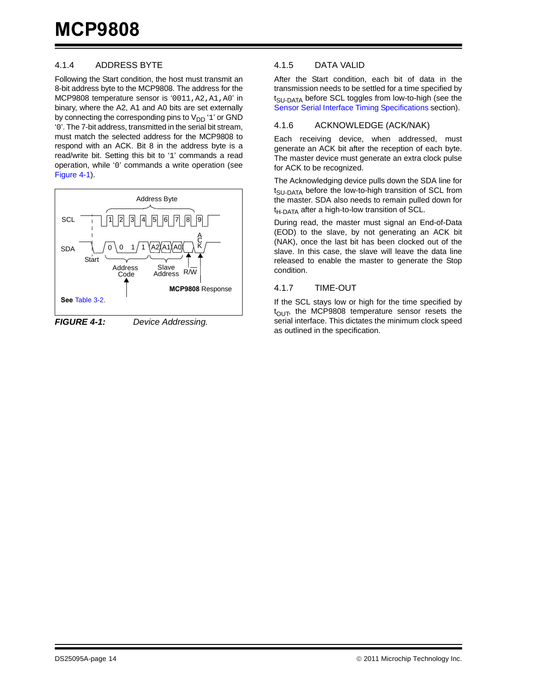#### <span id="page-13-1"></span>4.1.4 ADDRESS BYTE

Following the Start condition, the host must transmit an 8-bit address byte to the MCP9808. The address for the MCP9808 temperature sensor is '0011,A2,A1,A0' in binary, where the A2, A1 and A0 bits are set externally by connecting the corresponding pins to  $V_{DD}$  '1' or GND '0'. The 7-bit address, transmitted in the serial bit stream, must match the selected address for the MCP9808 to respond with an ACK. Bit 8 in the address byte is a read/write bit. Setting this bit to '1' commands a read operation, while '0' commands a write operation (see [Figure 4-1\)](#page-13-0).



<span id="page-13-0"></span>*FIGURE 4-1: Device Addressing.*

#### 4.1.5 DATA VALID

After the Start condition, each bit of data in the transmission needs to be settled for a time specified by t<sub>SU-DATA</sub> before SCL toggles from low-to-high (see the [Sensor Serial Interface Timing Specifications](#page-4-5) section).

#### 4.1.6 ACKNOWLEDGE (ACK/NAK)

Each receiving device, when addressed, must generate an ACK bit after the reception of each byte. The master device must generate an extra clock pulse for ACK to be recognized.

The Acknowledging device pulls down the SDA line for t<sub>SU-DATA</sub> before the low-to-high transition of SCL from the master. SDA also needs to remain pulled down for  $t_{H\text{-DATA}}$  after a high-to-low transition of SCL.

During read, the master must signal an End-of-Data (EOD) to the slave, by not generating an ACK bit (NAK), once the last bit has been clocked out of the slave. In this case, the slave will leave the data line released to enable the master to generate the Stop condition.

#### 4.1.7 TIME-OUT

If the SCL stays low or high for the time specified by  $t<sub>OUT</sub>$ , the MCP9808 temperature sensor resets the serial interface. This dictates the minimum clock speed as outlined in the specification.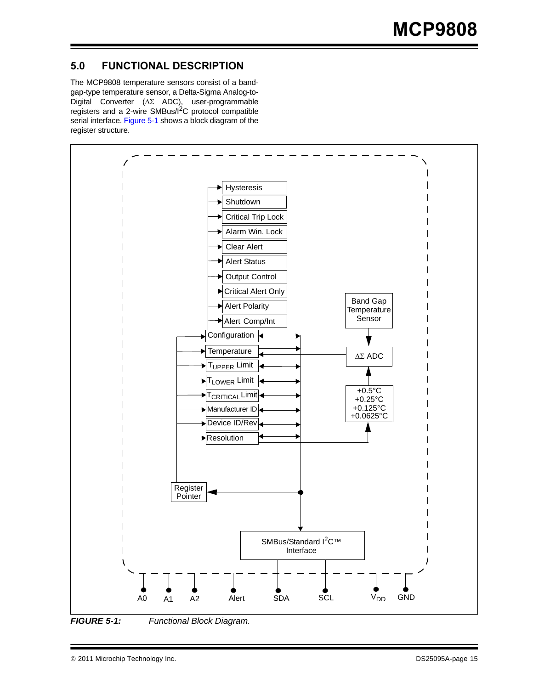## **5.0 FUNCTIONAL DESCRIPTION**

The MCP9808 temperature sensors consist of a bandgap-type temperature sensor, a Delta-Sigma Analog-to-Digital Converter (ΔΣ ADC), user-programmable registers and a 2-wire SMBus/I2C protocol compatible serial interface. [Figure 5-1](#page-14-0) shows a block diagram of the register structure.



<span id="page-14-0"></span>*FIGURE 5-1: Functional Block Diagram.*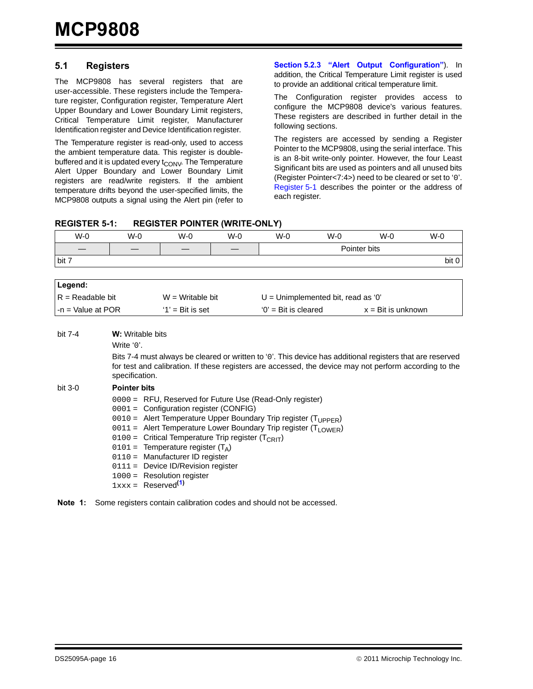#### **5.1 Registers**

The MCP9808 has several registers that are user-accessible. These registers include the Temperature register, Configuration register, Temperature Alert Upper Boundary and Lower Boundary Limit registers, Critical Temperature Limit register, Manufacturer Identification register and Device Identification register.

The Temperature register is read-only, used to access the ambient temperature data. This register is doublebuffered and it is updated every t<sub>CONV</sub>. The Temperature Alert Upper Boundary and Lower Boundary Limit registers are read/write registers. If the ambient temperature drifts beyond the user-specified limits, the MCP9808 outputs a signal using the Alert pin (refer to

**[Section 5.2.3 "Alert Output Configuration"](#page-29-0)**). In addition, the Critical Temperature Limit register is used to provide an additional critical temperature limit.

The Configuration register provides access to configure the MCP9808 device's various features. These registers are described in further detail in the following sections.

The registers are accessed by sending a Register Pointer to the MCP9808, using the serial interface. This is an 8-bit write-only pointer. However, the four Least Significant bits are used as pointers and all unused bits (Register Pointer<7:4>) need to be cleared or set to '0'. [Register 5-1](#page-15-0) describes the pointer or the address of each register.

<span id="page-15-0"></span>

| <b>REGISTER 5-1:</b> |  |  | <b>REGISTER POINTER (WRITE-ONLY)</b> |  |
|----------------------|--|--|--------------------------------------|--|
|----------------------|--|--|--------------------------------------|--|

| $W-0$               | $W-0$                            | $W-0$                                                    | $W-0$ | $W-0$                                                                       | $W-0$ | $W-0$                                                                                                     | $W-0$ |  |
|---------------------|----------------------------------|----------------------------------------------------------|-------|-----------------------------------------------------------------------------|-------|-----------------------------------------------------------------------------------------------------------|-------|--|
|                     |                                  |                                                          |       | Pointer bits                                                                |       |                                                                                                           |       |  |
| bit 7               |                                  |                                                          |       |                                                                             |       |                                                                                                           | bit 0 |  |
|                     |                                  |                                                          |       |                                                                             |       |                                                                                                           |       |  |
| Legend:             |                                  |                                                          |       |                                                                             |       |                                                                                                           |       |  |
| $R = Readable bit$  |                                  | $W = W$ ritable bit                                      |       | $U =$ Unimplemented bit, read as '0'                                        |       |                                                                                                           |       |  |
| $-n =$ Value at POR |                                  | $'1'$ = Bit is set                                       |       | $'0'$ = Bit is cleared                                                      |       | $x = \text{Bit}$ is unknown                                                                               |       |  |
|                     |                                  |                                                          |       |                                                                             |       |                                                                                                           |       |  |
| bit 7-4             | <b>W:</b> Writable bits          |                                                          |       |                                                                             |       |                                                                                                           |       |  |
|                     | Write '0'.                       |                                                          |       |                                                                             |       |                                                                                                           |       |  |
|                     |                                  |                                                          |       |                                                                             |       | Bits 7-4 must always be cleared or written to '0'. This device has additional registers that are reserved |       |  |
|                     |                                  |                                                          |       |                                                                             |       | for test and calibration. If these registers are accessed, the device may not perform according to the    |       |  |
|                     | specification.                   |                                                          |       |                                                                             |       |                                                                                                           |       |  |
| $bit 3-0$           | <b>Pointer bits</b>              |                                                          |       |                                                                             |       |                                                                                                           |       |  |
|                     |                                  |                                                          |       | 0000 = RFU, Reserved for Future Use (Read-Only register)                    |       |                                                                                                           |       |  |
|                     |                                  | 0001 = Configuration register (CONFIG)                   |       |                                                                             |       |                                                                                                           |       |  |
|                     |                                  |                                                          |       | 0010 = Alert Temperature Upper Boundary Trip register (T <sub>UPPER</sub> ) |       |                                                                                                           |       |  |
|                     |                                  |                                                          |       | 0011 = Alert Temperature Lower Boundary Trip register (T <sub>LOWER</sub> ) |       |                                                                                                           |       |  |
|                     |                                  | 0100 = Critical Temperature Trip register ( $T_{CRIT}$ ) |       |                                                                             |       |                                                                                                           |       |  |
|                     |                                  | 0101 = Temperature register $(T_A)$                      |       |                                                                             |       |                                                                                                           |       |  |
|                     |                                  | 0110 = Manufacturer ID register                          |       |                                                                             |       |                                                                                                           |       |  |
|                     |                                  | 0111 = Device ID/Revision register                       |       |                                                                             |       |                                                                                                           |       |  |
|                     |                                  | $1000 =$ Resolution register                             |       |                                                                             |       |                                                                                                           |       |  |
|                     | $1xxx =$ Reserved <sup>(1)</sup> |                                                          |       |                                                                             |       |                                                                                                           |       |  |

<span id="page-15-1"></span>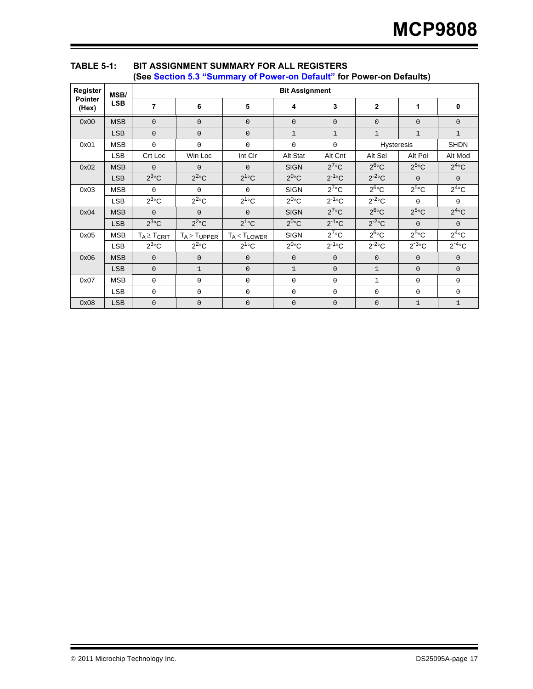| Register                | MSB/       | <b>Bit Assignment</b> |                   |                   |               |                |                   |                |                |  |  |
|-------------------------|------------|-----------------------|-------------------|-------------------|---------------|----------------|-------------------|----------------|----------------|--|--|
| <b>Pointer</b><br>(Hex) | <b>LSB</b> | 7                     | 6                 | 5                 | 4             | 3              | $\overline{2}$    | 1              | 0              |  |  |
| 0x00                    | <b>MSB</b> | $\Omega$              | $\Omega$          | $\mathbf{0}$      | $\Omega$      | $\Omega$       | $\Omega$          | $\Omega$       | $\Omega$       |  |  |
|                         | <b>LSB</b> | $\mathbf{0}$          | $\overline{0}$    | $\mathbf{0}$      | $\mathbf{1}$  | $\mathbf{1}$   | $\mathbf{1}$      | $\mathbf{1}$   | $\mathbf{1}$   |  |  |
| 0x01                    | <b>MSB</b> | $\mathbf 0$           | 0                 | $\mathbf 0$       | 0             | $\mathbf 0$    | <b>Hysteresis</b> |                | <b>SHDN</b>    |  |  |
|                         | <b>LSB</b> | Crt Loc               | Win Loc           | Int CIr           | Alt Stat      | Alt Cnt        | Alt Sel           | Alt Pol        | Alt Mod        |  |  |
| 0x02                    | <b>MSB</b> | $\Omega$              | $\Omega$          | $\Omega$          | <b>SIGN</b>   | $2^{7}$ °C     | $2^{6}$ °C        | $2^{5\circ}C$  | $2^{4}$ °C     |  |  |
|                         | <b>LSB</b> | $2^{3\circ}C$         | $2^{2\circ}C$     | $2^{1}$ °C        | $2^{0\circ}C$ | $2^{-1}$ °C    | $2^{-2}$ °C       | $\Omega$       | $\mathbf{0}$   |  |  |
| 0x03                    | <b>MSB</b> | $\Omega$              | 0                 | $\mathbf 0$       | <b>SIGN</b>   | $2^{7}$ °C     | $2^{6\circ}C$     | $2^{5\circ}$ C | $2^{4\circ}$ C |  |  |
|                         | <b>LSB</b> | $2^{3\circ}C$         | $2^{2\circ}C$     | $2^{1}$ °C        | $2^{0\circ}C$ | $2^{-1}$ °C    | $2^{-2}$ °C       | $\Omega$       | $\Omega$       |  |  |
| 0x04                    | <b>MSB</b> | $\Omega$              | $\Omega$          | $\Omega$          | <b>SIGN</b>   | $2^{7}$ °C     | $2^{6}$ °C        | $2^{5\circ}$ C | $2^{4}$ °C     |  |  |
|                         | <b>LSB</b> | $2^{3\circ}C$         | $2^{2\circ}$ C    | $2^{10}C$         | $2^{0\circ}C$ | $2^{-1}$ °C    | $2^{-2}$ °C       | $\Omega$       | $\Omega$       |  |  |
| 0x05                    | <b>MSB</b> | $T_A \geq T_{CRIT}$   | $T_A > T_{UPPER}$ | $T_A < T_{LOWER}$ | <b>SIGN</b>   | $2^{7}$ °C     | $2^{6}$ °C        | $2^{5\circ}$ C | $2^{4}$ °C     |  |  |
|                         | <b>LSB</b> | $2^{3\circ}C$         | $2^{2\circ}C$     | $2^{1}$ °C        | $2^{0\circ}C$ | $2^{-1}$ °C    | $2^{-2}$ °C       | $2^{-3}$ °C    | $2^{-4}$ °C    |  |  |
| 0x06                    | <b>MSB</b> | $\mathbf{0}$          | $\overline{0}$    | $\mathbf{0}$      | $\mathbf{0}$  | $\overline{0}$ | $\mathbf{0}$      | $\mathbf{0}$   | $\mathbf{0}$   |  |  |
|                         | <b>LSB</b> | $\mathbf{0}$          | $\mathbf{1}$      | $\mathbf 0$       | $\mathbf{1}$  | $\mathbf{0}$   | $\mathbf{1}$      | $\mathbf{0}$   | $\mathbf{0}$   |  |  |
| 0x07                    | <b>MSB</b> | $\Omega$              | 0                 | $\mathbf 0$       | 0             | 0              | 1                 | $\mathbf 0$    | 0              |  |  |
|                         | <b>LSB</b> | $\Omega$              | 0                 | $\mathbf 0$       | $\Omega$      | $\mathbf 0$    | 0                 | 0              | $\Omega$       |  |  |
| 0x08                    | <b>LSB</b> | $\mathbf{0}$          | $\overline{0}$    | $\mathbb O$       | $\mathbf{0}$  | $\mathbf 0$    | 0                 | $\mathbf{1}$   | $\mathbf{1}$   |  |  |

#### **TABLE 5-1: BIT ASSIGNMENT SUMMARY FOR ALL REGISTERS (See [Section 5.3 "Summary of Power-on Default"](#page-32-0) for Power-on Defaults)**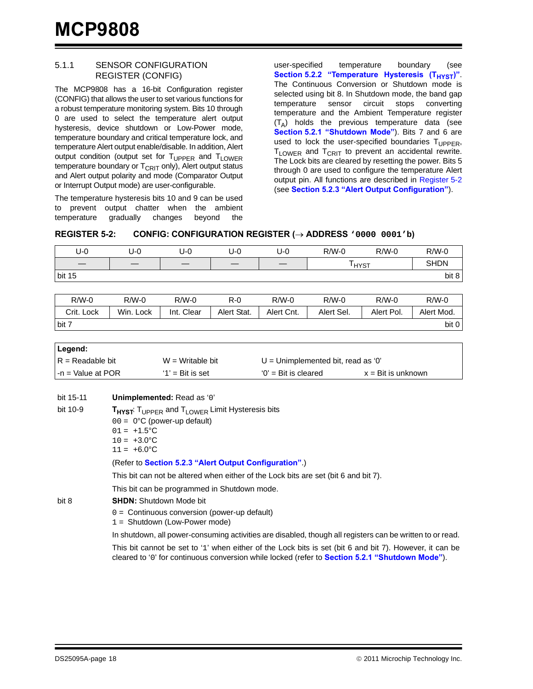#### <span id="page-17-1"></span>5.1.1 SENSOR CONFIGURATION REGISTER (CONFIG)

The MCP9808 has a 16-bit Configuration register (CONFIG) that allows the user to set various functions for a robust temperature monitoring system. Bits 10 through 0 are used to select the temperature alert output hysteresis, device shutdown or Low-Power mode, temperature boundary and critical temperature lock, and temperature Alert output enable/disable. In addition, Alert output condition (output set for  $T_{\text{UPPER}}$  and  $T_{\text{LOWER}}$ temperature boundary or  $T_{CRIT}$  only), Alert output status and Alert output polarity and mode (Comparator Output or Interrupt Output mode) are user-configurable.

The temperature hysteresis bits 10 and 9 can be used to prevent output chatter when the ambient temperature gradually changes beyond the

user-specified temperature boundary (see Section 5.2.2 "Temperature Hysteresis (T<sub>HYST</sub>)". The Continuous Conversion or Shutdown mode is selected using bit 8. In Shutdown mode, the band gap temperature sensor circuit stops converting temperature and the Ambient Temperature register  $(T_A)$  holds the previous temperature data (see **[Section 5.2.1 "Shutdown Mode"](#page-29-2)**). Bits 7 and 6 are used to lock the user-specified boundaries  $T_{\text{UPPER}}$ ,  $T_{LOWER}$  and  $T_{CRIT}$  to prevent an accidental rewrite. The Lock bits are cleared by resetting the power. Bits 5 through 0 are used to configure the temperature Alert output pin. All functions are described in [Register 5-2](#page-17-0) (see **[Section 5.2.3 "Alert Output Configuration"](#page-29-0)**).

#### <span id="page-17-0"></span>**REGISTER 5-2: CONFIG: CONFIGURATION REGISTER (**→ **ADDRESS '0000 0001'b)**

| $U-0$         | $U-0$     | $U-0$      | $U-0$       | $U-0$      | $R/W-0$           | $R/W-0$    | $R/W-0$     |
|---------------|-----------|------------|-------------|------------|-------------------|------------|-------------|
|               |           |            |             |            | Т <sub>нүѕт</sub> |            | <b>SHDN</b> |
| <b>bit 15</b> |           |            |             |            |                   |            | bit 8       |
|               |           |            |             |            |                   |            |             |
| $R/W-0$       | $R/W-0$   | $R/W-0$    | $R - 0$     | $R/W-0$    | $R/W-0$           | $R/W-0$    | $R/W-0$     |
| Crit. Lock    | Win. Lock | Int. Clear | Alert Stat. | Alert Cnt. | Alert Sel.        | Alert Pol. | Alert Mod.  |
| bit 7         |           |            |             |            |                   |            | bit 0       |
|               |           |            |             |            |                   |            |             |

| Legend:             |                     |                                      |                             |  |
|---------------------|---------------------|--------------------------------------|-----------------------------|--|
| I R = Readable bit  | $W = Writeable bit$ | $U =$ Unimplemented bit, read as '0' |                             |  |
| l -n = Value at POR | $'1'$ = Bit is set  | $0'$ = Bit is cleared                | $x = \text{Bit}$ is unknown |  |

#### bit 15-11 **Unimplemented:** Read as '0'

| bit 10-9 | T <sub>HYST</sub> : T <sub>UPPER</sub> and T <sub>LOWER</sub> Limit Hysteresis bits<br>$00 = 0^{\circ}C$ (power-up default)<br>$01 = +1.5$ °C<br>$10 = +3.0^{\circ}C$<br>$11 = +6.0^{\circ}C$              |  |  |  |  |  |
|----------|------------------------------------------------------------------------------------------------------------------------------------------------------------------------------------------------------------|--|--|--|--|--|
|          | (Refer to Section 5.2.3 "Alert Output Configuration".)                                                                                                                                                     |  |  |  |  |  |
|          | This bit can not be altered when either of the Lock bits are set (bit 6 and bit 7).                                                                                                                        |  |  |  |  |  |
|          | This bit can be programmed in Shutdown mode.                                                                                                                                                               |  |  |  |  |  |
| bit 8    | <b>SHDN:</b> Shutdown Mode bit                                                                                                                                                                             |  |  |  |  |  |
|          | $0 =$ Continuous conversion (power-up default)<br>$1 =$ Shutdown (Low-Power mode)                                                                                                                          |  |  |  |  |  |
|          | In shutdown, all power-consuming activities are disabled, though all registers can be written to or read.                                                                                                  |  |  |  |  |  |
|          | This bit cannot be set to '1' when either of the Lock bits is set (bit 6 and bit 7). However, it can be<br>cleared to '0' for continuous conversion while locked (refer to Section 5.2.1 "Shutdown Mode"). |  |  |  |  |  |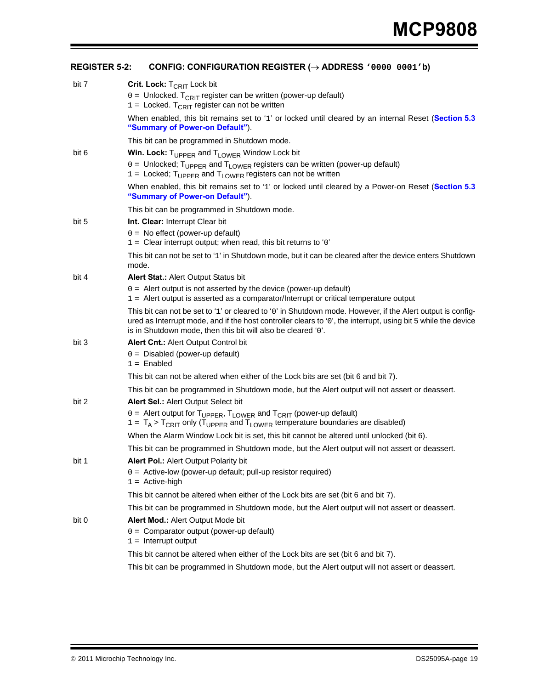### **REGISTER 5-2: CONFIG: CONFIGURATION REGISTER (**→ **ADDRESS '0000 0001'b)**

| bit 7 | <b>Crit. Lock:</b> $T_{CRIT}$ Lock bit<br>$0 =$ Unlocked. T <sub>CRIT</sub> register can be written (power-up default)                                                                                                                                                                      |
|-------|---------------------------------------------------------------------------------------------------------------------------------------------------------------------------------------------------------------------------------------------------------------------------------------------|
|       | $1 =$ Locked. T <sub>CRIT</sub> register can not be written                                                                                                                                                                                                                                 |
|       | When enabled, this bit remains set to '1' or locked until cleared by an internal Reset (Section 5.3                                                                                                                                                                                         |
|       | "Summary of Power-on Default").                                                                                                                                                                                                                                                             |
|       | This bit can be programmed in Shutdown mode.                                                                                                                                                                                                                                                |
| bit 6 | <b>Win. Lock:</b> $T_{\text{UPPER}}$ and $T_{\text{LOWER}}$ Window Lock bit                                                                                                                                                                                                                 |
|       | $0 =$ Unlocked; T <sub>UPPER</sub> and T <sub>LOWER</sub> registers can be written (power-up default)<br>$1 =$ Locked; $T_{\text{UPPER}}$ and $T_{\text{LOWER}}$ registers can not be written                                                                                               |
|       | When enabled, this bit remains set to '1' or locked until cleared by a Power-on Reset (Section 5.3<br>"Summary of Power-on Default").                                                                                                                                                       |
|       | This bit can be programmed in Shutdown mode.                                                                                                                                                                                                                                                |
| bit 5 | Int. Clear: Interrupt Clear bit                                                                                                                                                                                                                                                             |
|       | $0 =$ No effect (power-up default)<br>$1 =$ Clear interrupt output; when read, this bit returns to '0'                                                                                                                                                                                      |
|       | This bit can not be set to '1' in Shutdown mode, but it can be cleared after the device enters Shutdown                                                                                                                                                                                     |
|       | mode.                                                                                                                                                                                                                                                                                       |
| bit 4 | <b>Alert Stat.: Alert Output Status bit</b>                                                                                                                                                                                                                                                 |
|       | $0 =$ Alert output is not asserted by the device (power-up default)                                                                                                                                                                                                                         |
|       | $1 =$ Alert output is asserted as a comparator/Interrupt or critical temperature output                                                                                                                                                                                                     |
|       | This bit can not be set to '1' or cleared to '0' in Shutdown mode. However, if the Alert output is config-<br>ured as Interrupt mode, and if the host controller clears to '0', the interrupt, using bit 5 while the device<br>is in Shutdown mode, then this bit will also be cleared '0'. |
| bit 3 | <b>Alert Cnt.: Alert Output Control bit</b>                                                                                                                                                                                                                                                 |
|       | $0 =$ Disabled (power-up default)<br>$1 =$ Enabled                                                                                                                                                                                                                                          |
|       | This bit can not be altered when either of the Lock bits are set (bit 6 and bit 7).                                                                                                                                                                                                         |
|       | This bit can be programmed in Shutdown mode, but the Alert output will not assert or deassert.                                                                                                                                                                                              |
| bit 2 | Alert Sel.: Alert Output Select bit                                                                                                                                                                                                                                                         |
|       | $0 =$ Alert output for $T_{\text{UPPER}}$ , $T_{\text{LOWER}}$ and $T_{\text{CRIT}}$ (power-up default)<br>$1 = T_A > T_{CRIT}$ only (T <sub>UPPER</sub> and T <sub>LOWER</sub> temperature boundaries are disabled)                                                                        |
|       | When the Alarm Window Lock bit is set, this bit cannot be altered until unlocked (bit 6).                                                                                                                                                                                                   |
|       | This bit can be programmed in Shutdown mode, but the Alert output will not assert or deassert.                                                                                                                                                                                              |
| bit 1 | Alert Pol.: Alert Output Polarity bit                                                                                                                                                                                                                                                       |
|       | $0 =$ Active-low (power-up default; pull-up resistor required)<br>$1 =$ Active-high                                                                                                                                                                                                         |
|       | This bit cannot be altered when either of the Lock bits are set (bit 6 and bit 7).                                                                                                                                                                                                          |
|       | This bit can be programmed in Shutdown mode, but the Alert output will not assert or deassert.                                                                                                                                                                                              |
| bit 0 | Alert Mod.: Alert Output Mode bit                                                                                                                                                                                                                                                           |
|       | $0 =$ Comparator output (power-up default)<br>$1 =$ Interrupt output                                                                                                                                                                                                                        |
|       | This bit cannot be altered when either of the Lock bits are set (bit 6 and bit 7).                                                                                                                                                                                                          |
|       | This bit can be programmed in Shutdown mode, but the Alert output will not assert or deassert.                                                                                                                                                                                              |
|       |                                                                                                                                                                                                                                                                                             |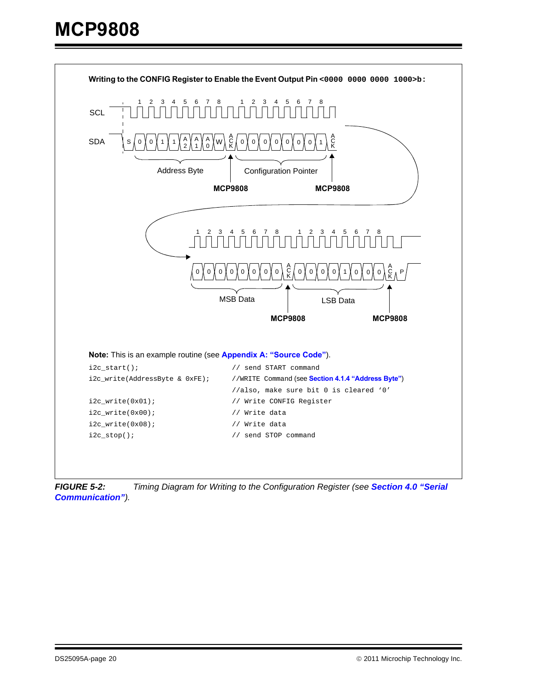

*FIGURE 5-2: Timing Diagram for Writing to the Configuration Register (see [Section 4.0 "Serial](#page-12-0)  [Communication"](#page-12-0)).*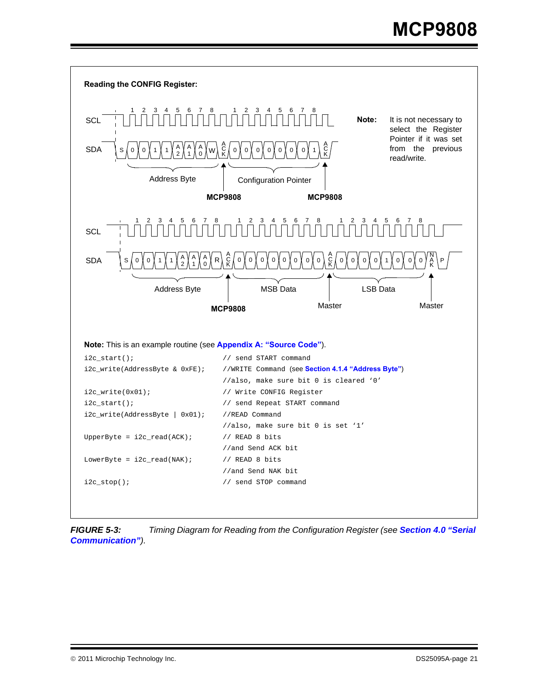

*FIGURE 5-3: Timing Diagram for Reading from the Configuration Register (see [Section 4.0 "Serial](#page-12-0)  [Communication"](#page-12-0)).*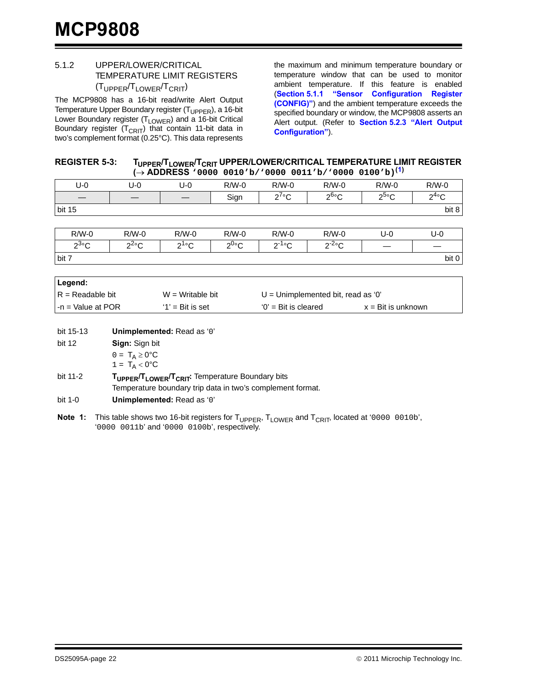#### 5.1.2 UPPER/LOWER/CRITICAL TEMPERATURE LIMIT REGISTERS (TUPPER/TLOWER/TCRIT)

The MCP9808 has a 16-bit read/write Alert Output Temperature Upper Boundary register (T<sub>UPPER</sub>), a 16-bit Lower Boundary register (T<sub>LOWER</sub>) and a 16-bit Critical Boundary register  $(T_{\mathsf{CRIT}})$  that contain 11-bit data in two's complement format (0.25°C). This data represents

the maximum and minimum temperature boundary or temperature window that can be used to monitor ambient temperature. If this feature is enabled (**[Section 5.1.1 "Sensor Configuration Register](#page-17-1) [\(CONFIG\)"](#page-17-1)**) and the ambient temperature exceeds the specified boundary or window, the MCP9808 asserts an Alert output. (Refer to **[Section 5.2.3 "Alert Output](#page-29-0) [Configuration"](#page-29-0)**).

| <b>REGISTER 5-3:</b> | T <sub>UPPER</sub> /T <sub>LOWER</sub> /T <sub>CRIT</sub> UPPER/LOWER/CRITICAL TEMPERATURE LIMIT REGISTER |
|----------------------|-----------------------------------------------------------------------------------------------------------|
|                      | $(\rightarrow$ ADDRESS '0000 0010'b/'0000 0011'b/'0000 0100'b) <sup>(1)</sup>                             |

|        |     |     | - - - -<br>-- - | ----                   | ---- --               | .                     |                         |
|--------|-----|-----|-----------------|------------------------|-----------------------|-----------------------|-------------------------|
| U-0    | U-0 | U-0 | $R/W-0$         | $R/W-0$                | $R/W-0$               | $R/W-0$               | $R/W-0$                 |
|        |     |     | Sign            | 200<br>ັ<br>$\epsilon$ | ინ∘ი<br>ັ<br><u>_</u> | ია∘ი<br>ັ<br><u>.</u> | 2400<br>$\epsilon$<br>◡ |
| bit 15 |     |     |                 |                        |                       |                       | bit 8                   |
|        |     |     |                 |                        |                       |                       |                         |

| $R/W-0$       | $R/W-0$       | $R/W-0$       | $R/W-0$       | $R/W-0$        | $R/W-0$         | U-0                      | U-0                           |
|---------------|---------------|---------------|---------------|----------------|-----------------|--------------------------|-------------------------------|
| ഹ3ം<br>ັ<br>L | ഹ∠റ<br>◡<br>_ | ിറെ<br>ັ<br>_ | √∘ഗ<br>ັ<br>- | ചിം∩<br>ັ<br>- | n-2∘∩<br>◡<br>- | $\overline{\phantom{a}}$ | $\overbrace{\phantom{12333}}$ |
| bit 7         |               |               |               |                |                 |                          | bit 0                         |

| ∣ Legend:            |                     |                                      |                    |  |  |
|----------------------|---------------------|--------------------------------------|--------------------|--|--|
| $IR = Readable bit$  | $W = W$ ritable bit | $U =$ Unimplemented bit, read as '0' |                    |  |  |
| $-$ n = Value at POR | $'1'$ = Bit is set  | $0'$ = Bit is cleared                | x = Bit is unknown |  |  |

bit 15-13 **Unimplemented:** Read as '0'

bit 12 **Sign:** Sign bit

 $0 = T_A \geq 0$ °C

 $1 = T_A < 0$ °C

- bit 11-2 **TUPPER/TLOWER/TCRIT:** Temperature Boundary bits Temperature boundary trip data in two's complement format.
- bit 1-0 **Unimplemented:** Read as '0'
- <span id="page-21-0"></span>Note 1: This table shows two 16-bit registers for T<sub>UPPER</sub>, T<sub>LOWER</sub> and T<sub>CRIT</sub>, located at '0000 0010b', '0000 0011b' and '0000 0100b', respectively.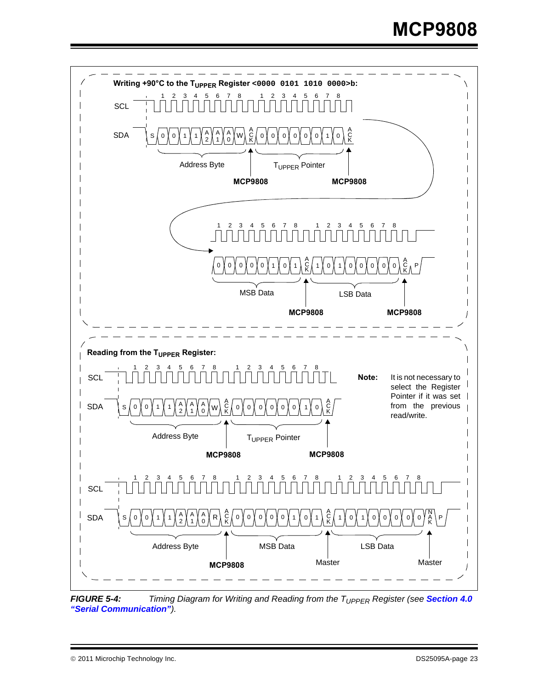

*FIGURE 5-4: Timing Diagram for Writing and Reading from the T<sub>UPPER</sub> Register (see Section 4.0 ["Serial Communication"](#page-12-0)).*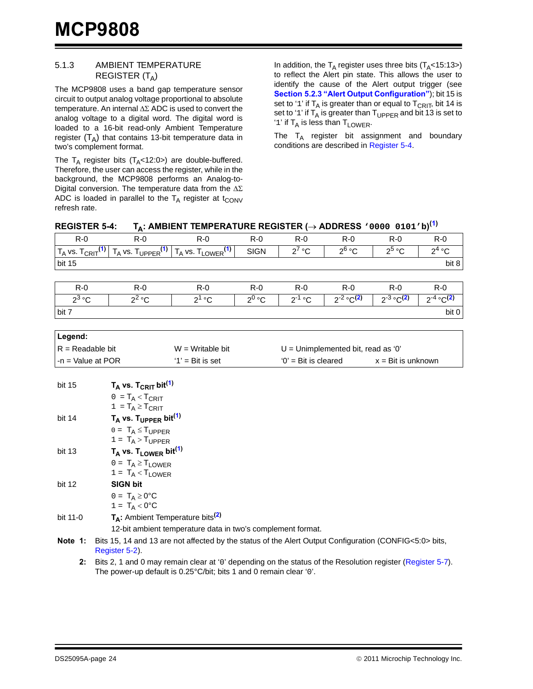#### 5.1.3 AMBIENT TEMPERATURE REGISTER  $(T_A)$

The MCP9808 uses a band gap temperature sensor circuit to output analog voltage proportional to absolute temperature. An internal ΔΣ ADC is used to convert the analog voltage to a digital word. The digital word is loaded to a 16-bit read-only Ambient Temperature register  $(T_A)$  that contains 13-bit temperature data in two's complement format.

The  $T_A$  register bits ( $T_A$ <12:0>) are double-buffered. Therefore, the user can access the register, while in the background, the MCP9808 performs an Analog-to-Digital conversion. The temperature data from the  $\Delta\Sigma$ ADC is loaded in parallel to the  $T_A$  register at t<sub>CONV</sub> refresh rate.

In addition, the  $T_A$  register uses three bits  $(T_A<15:13>)$ to reflect the Alert pin state. This allows the user to identify the cause of the Alert output trigger (see **[Section 5.2.3 "Alert Output Configuration"](#page-29-0)**); bit 15 is set to '1' if  $T_A$  is greater than or equal to  $T_{CRIT}$ , bit 14 is set to '1' if  $T_A$  is greater than  $T_{\text{UPPER}}$  and bit 13 is set to '1' if  $T_A$  is less than  $T_{LOWER}$ .

The  $T_A$  register bit assignment and boundary conditions are described in [Register 5-4](#page-23-0).

## <span id="page-23-0"></span>**REGISTER 5-4: TA: AMBIENT TEMPERATURE REGISTER (**→ **ADDRESS '0000 0101'b) [\(1\)](#page-23-1)**

|                     | <u>_</u>                                                 |                                                                    |             |                        |                                      |                             |                       |
|---------------------|----------------------------------------------------------|--------------------------------------------------------------------|-------------|------------------------|--------------------------------------|-----------------------------|-----------------------|
| $R - 0$             | $R - 0$                                                  | $R - 0$                                                            | $R - 0$     | $R-0$                  | $R - 0$                              | $R-0$                       | $R - 0$               |
|                     | $T_A$ vs. $T_{CRIT}^{(1)}$ $T_A$ vs. $T_{UPPER}^{(1)}$   | $T_A$ vs. $T_{LOWER}$ <sup>(1)</sup>                               | <b>SIGN</b> | $2^7$ °C               | $2^6$ °C                             | $2^5$ °C                    | $\overline{2}^4$ °C   |
| bit 15              |                                                          |                                                                    |             |                        |                                      |                             | bit 8                 |
|                     |                                                          |                                                                    |             |                        |                                      |                             |                       |
| $R - 0$             | $R - 0$                                                  | $R - 0$                                                            | $R - 0$     | $R - 0$                | $R - 0$                              | $R - 0$                     | $R - 0$               |
| $2^3$ °C            | $2^2$ °C                                                 | $2^1$ °C                                                           | $2^0$ °C    | $2^{-1}$ °C.           | $2^{-2}$ °C <sup>(2)</sup>           | $2^{-3}$ °C <sup>(2)</sup>  | $\sqrt{2^{-4}}$ °C(2) |
| bit 7               |                                                          |                                                                    |             |                        |                                      |                             | bit 0                 |
|                     |                                                          |                                                                    |             |                        |                                      |                             |                       |
| Legend:             |                                                          |                                                                    |             |                        |                                      |                             |                       |
| $R =$ Readable bit  |                                                          | $W = Writeable bit$                                                |             |                        | $U =$ Unimplemented bit, read as '0' |                             |                       |
| $-n =$ Value at POR |                                                          | $'1'$ = Bit is set                                                 |             | $'0'$ = Bit is cleared |                                      | $x = \text{Bit}$ is unknown |                       |
|                     |                                                          |                                                                    |             |                        |                                      |                             |                       |
| bit 15              | $T_A$ vs. $T_{CRIT}$ bit <sup>(1)</sup>                  |                                                                    |             |                        |                                      |                             |                       |
|                     | $0 = T_A < T_{CRIT}$                                     |                                                                    |             |                        |                                      |                             |                       |
|                     | $1 = T_A \geq T_{CRIT}$                                  |                                                                    |             |                        |                                      |                             |                       |
| bit 14              | $T_A$ vs. $T_{UPPER}$ bit <sup>(1)</sup>                 |                                                                    |             |                        |                                      |                             |                       |
|                     | $0 = T_A \leq T_{LIPPER}$                                |                                                                    |             |                        |                                      |                             |                       |
|                     | $1 = T_A > T_{UPPER}$                                    |                                                                    |             |                        |                                      |                             |                       |
| bit 13              | $T_A$ vs. $T_{LOWER}$ bit <sup>(1)</sup>                 |                                                                    |             |                        |                                      |                             |                       |
|                     | $0 = T_A \geq T_{LOWER}$                                 |                                                                    |             |                        |                                      |                             |                       |
|                     | $1 = T_A < T_{LOWER}$                                    |                                                                    |             |                        |                                      |                             |                       |
| bit 12              | <b>SIGN bit</b>                                          |                                                                    |             |                        |                                      |                             |                       |
|                     | $0 = T_A \ge 0$ °C<br>$1 = T_A < 0$ °C                   |                                                                    |             |                        |                                      |                             |                       |
| bit 11-0            | T <sub>A</sub> : Ambient Temperature bits <sup>(2)</sup> |                                                                    |             |                        |                                      |                             |                       |
|                     |                                                          | 40 kit saakisat teaansanat aan dete in taasis senedena aan aat fem |             |                        |                                      |                             |                       |

12-bit ambient temperature data in two's complement format.

- <span id="page-23-2"></span><span id="page-23-1"></span>**Note 1:** Bits 15, 14 and 13 are not affected by the status of the Alert Output Configuration (CONFIG<5:0> bits, [Register 5-2](#page-17-0)).
	- **2:** Bits 2, 1 and 0 may remain clear at '0' depending on the status of the Resolution register ([Register 5-7\)](#page-28-0). The power-up default is 0.25°C/bit; bits 1 and 0 remain clear '0'.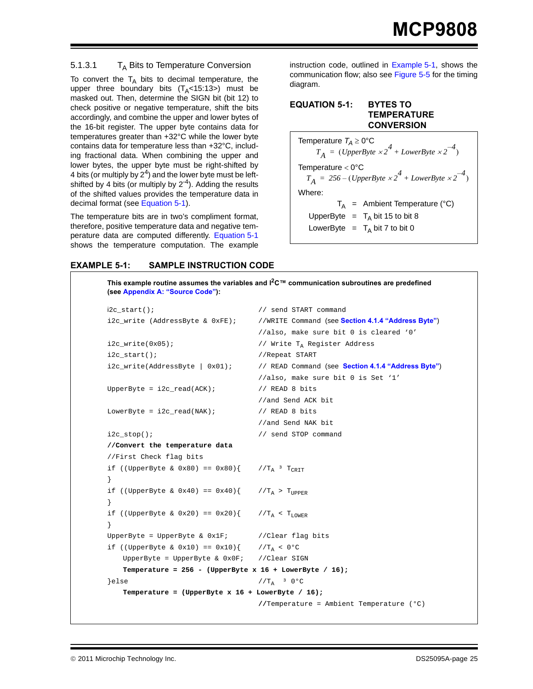#### 5.1.3.1  $T_A$  Bits to Temperature Conversion

To convert the  $T_A$  bits to decimal temperature, the upper three boundary bits  $(T_A < 15:13)$  must be masked out. Then, determine the SIGN bit (bit 12) to check positive or negative temperature, shift the bits accordingly, and combine the upper and lower bytes of the 16-bit register. The upper byte contains data for temperatures greater than +32°C while the lower byte contains data for temperature less than +32°C, including fractional data. When combining the upper and lower bytes, the upper byte must be right-shifted by 4 bits (or multiply by  $2<sup>4</sup>$ ) and the lower byte must be leftshifted by 4 bits (or multiply by  $2^{-4}$ ). Adding the results of the shifted values provides the temperature data in decimal format (see [Equation 5-1](#page-24-0)).

The temperature bits are in two's compliment format, therefore, positive temperature data and negative temperature data are computed differently. [Equation 5-1](#page-24-0) shows the temperature computation. The example

#### <span id="page-24-1"></span>**EXAMPLE 5-1: SAMPLE INSTRUCTION CODE**

instruction code, outlined in [Example 5-1,](#page-24-1) shows the communication flow; also see [Figure 5-5](#page-25-0) for the timing diagram.

#### <span id="page-24-0"></span>**EQUATION 5-1: BYTES TO TEMPERATURE CONVERSION**

Where:  $T_A$  = Ambient Temperature (°C) UpperByte =  $T_A$  bit 15 to bit 8 LowerByte =  $T_A$  bit 7 to bit 0 Temperature  $T_A \geq 0$ °C Temperature  $< 0°C$  $T_A = (UpperByte \times 2^4 + LowerByte \times 2^{-4})$  $T_A = 256 - (UpperByte \times 2^4 + LowerByte \times 2^{-4})$ 

**This example routine assumes the variables and I2C™ communication subroutines are predefined (see [Appendix A: "Source Code"](#page-42-0)):**

```
i2c start(); \frac{1}{2} // send START command
i2c_write (AddressByte & 0xFE); //WRITE Command (see Section 4.1.4 "Address Byte")
                                  //also, make sure bit 0 is cleared '0'
i2c\_write(0x05); // Write T<sub>A</sub> Register Address
i2c_start(); //Repeat START
i2c_write(AddressByte | 0x01); // READ Command (see Section 4.1.4 "Address Byte")
                                  //also, make sure bit 0 is Set '1'
UpperByte = i2c_read(ACK); \qquad // READ 8 bits
                                   //and Send ACK bit
LowerByte = i2c read(NAK); // READ 8 bits
                                   //and Send NAK bit
i2c_stop(); // send STOP command
//Convert the temperature data
//First Check flag bits
if ((UpperByte & 0x80) == 0x80) { //T<sub>A</sub> ^3 T<sub>CRIT</sub>
}
if ((UpperByte & 0x40) == 0x40) { //T<sub>A</sub> > T<sub>UPPER</sub>
}
if ((UpperByte & 0x20) == 0x20) { //T_A < T_{LOWER}}
UpperByte = UpperByte & 0x1F; //Clear flag bits
if ((UpperByte & 0x10) == 0x10} //T<sub>A</sub> < 0°C
   UpperByte = UpperByte & 0x0F; //Clear SIGN
   Temperature = 256 - (UpperByte x 16 + LowerByte / 16);
} else //T_A = 30°CTemperature = (UpperByte x 16 + LowerByte / 16);
                                  //Temperature = Ambient Temperature (°C)
```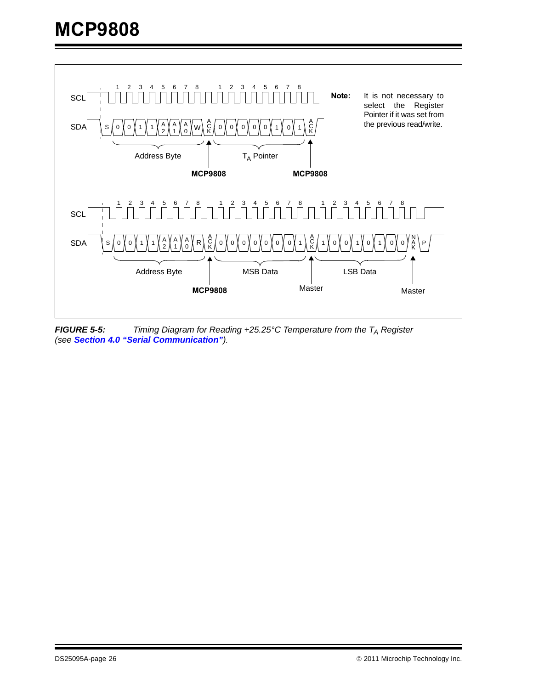

<span id="page-25-0"></span>*FIGURE 5-5: Timing Diagram for Reading +25.25°C Temperature from the T<sub>A</sub> Register (see [Section 4.0 "Serial Communication"](#page-12-0)).*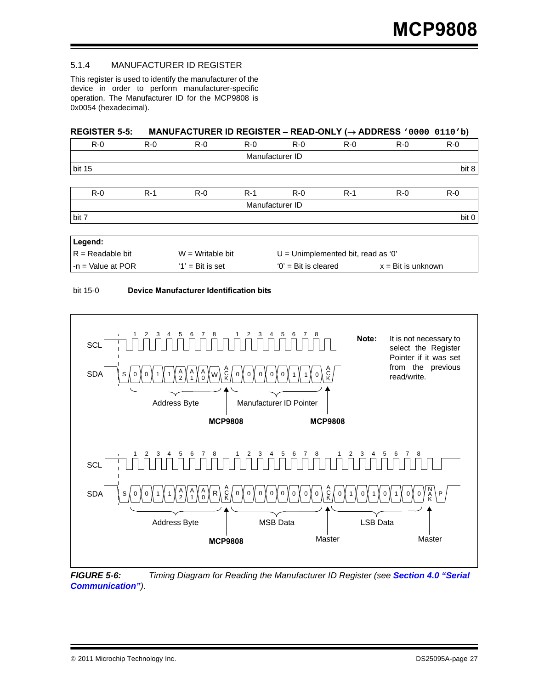#### 5.1.4 MANUFACTURER ID REGISTER

This register is used to identify the manufacturer of the device in order to perform manufacturer-specific operation. The Manufacturer ID for the MCP9808 is 0x0054 (hexadecimal).

#### **REGISTER 5-5: MANUFACTURER ID REGISTER – READ-ONLY (**→ **ADDRESS '0000 0110'b)**

|         |       |       |         |                 | $\cdot$ |       |         |
|---------|-------|-------|---------|-----------------|---------|-------|---------|
| $R - 0$ | $R-0$ | $R-0$ | $R - 0$ | $R - 0$         | $R - 0$ | $R-0$ | $R - 0$ |
|         |       |       |         | Manufacturer ID |         |       |         |
| bit 15  |       |       |         |                 |         |       | bit 8   |
|         |       |       |         |                 |         |       |         |
| $R - 0$ | $R-1$ | $R-0$ | $R-1$   | $R-0$           | $R-1$   | $R-0$ | $R-0$   |
|         |       |       |         | Manufacturer ID |         |       |         |
| bit 7   |       |       |         |                 |         |       | bit 0   |
|         |       |       |         |                 |         |       |         |
| Legend: |       |       |         |                 |         |       |         |

| .                   |                     |                                      |                             |  |  |
|---------------------|---------------------|--------------------------------------|-----------------------------|--|--|
| $R =$ Readable bit  | $W = W$ ritable bit | $U =$ Unimplemented bit, read as '0' |                             |  |  |
| l -n = Value at POR | $'1'$ = Bit is set  | $0'$ = Bit is cleared                | $x = \text{Bit}$ is unknown |  |  |
|                     |                     |                                      |                             |  |  |

#### bit 15-0 **Device Manufacturer Identification bits**



*FIGURE 5-6: Timing Diagram for Reading the Manufacturer ID Register (see [Section 4.0 "Serial](#page-12-0)  [Communication"](#page-12-0)).*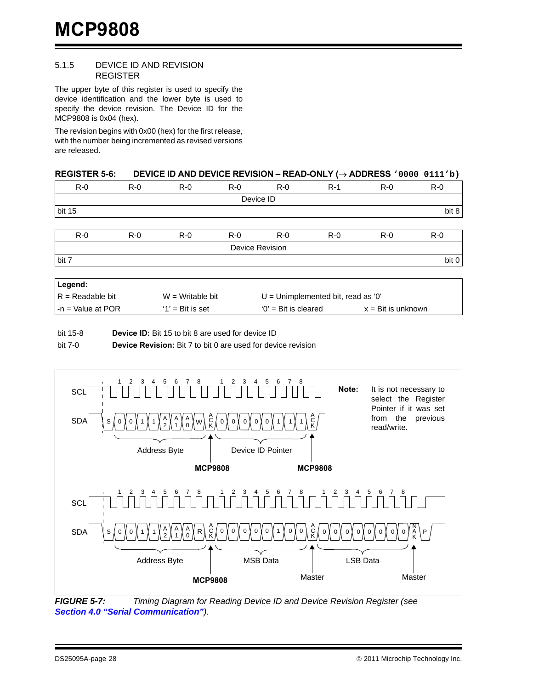#### 5.1.5 DEVICE ID AND REVISION REGISTER

The upper byte of this register is used to specify the device identification and the lower byte is used to specify the device revision. The Device ID for the MCP9808 is 0x04 (hex).

The revision begins with 0x00 (hex) for the first release, with the number being incremented as revised versions are released.

#### **REGISTER 5-6: DEVICE ID AND DEVICE REVISION – READ-ONLY (**→ **ADDRESS '0000 0111'b)**

| $R - 0$             | $R - 0$ | $R - 0$             | $R - 0$ | $R - 0$                              | $R-1$   | $R - 0$                     | $R - 0$ |
|---------------------|---------|---------------------|---------|--------------------------------------|---------|-----------------------------|---------|
|                     |         |                     |         | Device ID                            |         |                             |         |
| <b>bit 15</b>       |         |                     |         |                                      |         |                             | bit 8   |
|                     |         |                     |         |                                      |         |                             |         |
| $R - 0$             | $R - 0$ | $R - 0$             | $R - 0$ | $R - 0$                              | $R - 0$ | $R - 0$                     | $R - 0$ |
|                     |         |                     |         | Device Revision                      |         |                             |         |
| bit 7               |         |                     |         |                                      |         |                             | bit 0   |
| Legend:             |         |                     |         |                                      |         |                             |         |
|                     |         |                     |         |                                      |         |                             |         |
| $R =$ Readable bit  |         | $W = W$ ritable bit |         | $U =$ Unimplemented bit, read as '0' |         |                             |         |
| $-n = Value$ at POR |         | $'1'$ = Bit is set  |         | $0'$ = Bit is cleared                |         | $x = \text{Bit}$ is unknown |         |

bit 15-8 **Device ID:** Bit 15 to bit 8 are used for device ID

bit 7-0 **Device Revision:** Bit 7 to bit 0 are used for device revision



*FIGURE 5-7: Timing Diagram for Reading Device ID and Device Revision Register (see [Section 4.0 "Serial Communication"](#page-12-0)).*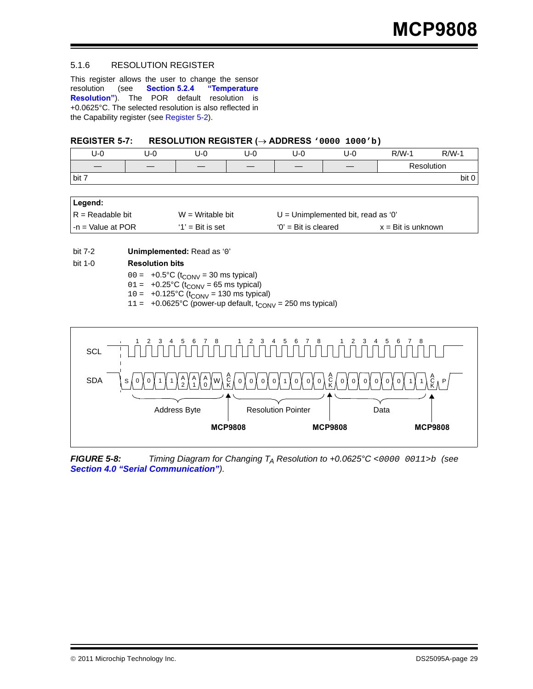#### 5.1.6 RESOLUTION REGISTER

This register allows the user to change the sensor resolution (see **[Section 5.2.4 "Temperature](#page-30-0) [Resolution"](#page-30-0)**). The POR default resolution is +0.0625°C. The selected resolution is also reflected in the Capability register (see [Register 5-2](#page-17-0)).

#### <span id="page-28-0"></span>**REGISTER 5-7: RESOLUTION REGISTER (**→ **ADDRESS '0000 1000'b)**

| U-0   | U-0 | U-0 | $\sim$<br>U-U | U-0 | U-0 | $R/W-1$    | $R/W-1$ |
|-------|-----|-----|---------------|-----|-----|------------|---------|
|       |     |     |               |     |     | Resolution |         |
| bit 7 |     |     |               |     |     |            | bit 0   |

| ∣Legend:               |                     |                                      |                             |
|------------------------|---------------------|--------------------------------------|-----------------------------|
| $IR = Readable bit$    | $W = W$ ritable bit | $U =$ Unimplemented bit, read as '0' |                             |
| $l - n =$ Value at POR | $'1'$ = Bit is set  | $'0'$ = Bit is cleared               | $x = \text{Bit}$ is unknown |

bit 7-2 **Unimplemented:** Read as '0'

#### bit 1-0 **Resolution bits**

- $00 = +0.5$ °C ( $t_{CONV} = 30$  ms typical)
- $01 = +0.25$ °C ( $t_{CONV} = 65$  ms typical)
- $10 = +0.125^{\circ}C$  (t<sub>CONV</sub> = 130 ms typical)
- $11 = +0.0625^{\circ}$ C (power-up default,  $t_{CONV} = 250$  ms typical)



*FIGURE 5-8: Timing Diagram for Changing T<sub>A</sub> Resolution to +0.0625°C <0000 0011>b* (see *[Section 4.0 "Serial Communication"](#page-12-0)).*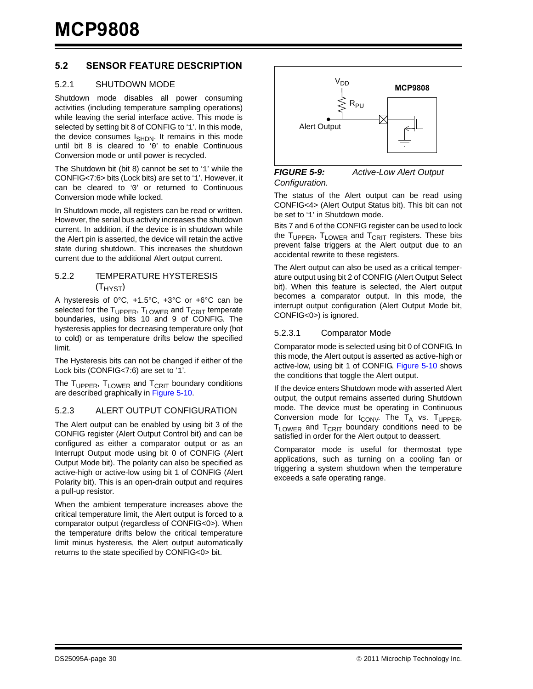#### **5.2 SENSOR FEATURE DESCRIPTION**

#### <span id="page-29-2"></span>5.2.1 SHUTDOWN MODE

Shutdown mode disables all power consuming activities (including temperature sampling operations) while leaving the serial interface active. This mode is selected by setting bit 8 of CONFIG to '1'. In this mode, the device consumes  $I_{\text{SHDN}}$ . It remains in this mode until bit 8 is cleared to '0' to enable Continuous Conversion mode or until power is recycled.

The Shutdown bit (bit 8) cannot be set to '1' while the CONFIG<7:6> bits (Lock bits) are set to '1'. However, it can be cleared to '0' or returned to Continuous Conversion mode while locked.

In Shutdown mode, all registers can be read or written. However, the serial bus activity increases the shutdown current. In addition, if the device is in shutdown while the Alert pin is asserted, the device will retain the active state during shutdown. This increases the shutdown current due to the additional Alert output current.

#### <span id="page-29-1"></span>5.2.2 TEMPERATURE HYSTERESIS  $(T_{HYST})$

A hysteresis of 0°C, +1.5°C, +3°C or +6°C can be selected for the  $T_{\text{UPPER}}$ ,  $T_{\text{LOWER}}$  and  $T_{\text{CRIT}}$  temperate boundaries, using bits 10 and 9 of CONFIG. The hysteresis applies for decreasing temperature only (hot to cold) or as temperature drifts below the specified limit.

The Hysteresis bits can not be changed if either of the Lock bits (CONFIG<7:6) are set to '1'.

The  $T_{\text{UPPER}}$ ,  $T_{\text{LOWER}}$  and  $T_{\text{CRIT}}$  boundary conditions are described graphically in [Figure 5-10.](#page-31-0)

#### <span id="page-29-0"></span>5.2.3 ALERT OUTPUT CONFIGURATION

The Alert output can be enabled by using bit 3 of the CONFIG register (Alert Output Control bit) and can be configured as either a comparator output or as an Interrupt Output mode using bit 0 of CONFIG (Alert Output Mode bit). The polarity can also be specified as active-high or active-low using bit 1 of CONFIG (Alert Polarity bit). This is an open-drain output and requires a pull-up resistor.

When the ambient temperature increases above the critical temperature limit, the Alert output is forced to a comparator output (regardless of CONFIG<0>). When the temperature drifts below the critical temperature limit minus hysteresis, the Alert output automatically returns to the state specified by CONFIG<0> bit.





The status of the Alert output can be read using CONFIG<4> (Alert Output Status bit). This bit can not be set to '1' in Shutdown mode.

Bits 7 and 6 of the CONFIG register can be used to lock the  $T_{\text{UPPER}}$ ,  $T_{\text{LOWER}}$  and  $T_{\text{CRIT}}$  registers. These bits prevent false triggers at the Alert output due to an accidental rewrite to these registers.

The Alert output can also be used as a critical temperature output using bit 2 of CONFIG (Alert Output Select bit). When this feature is selected, the Alert output becomes a comparator output. In this mode, the interrupt output configuration (Alert Output Mode bit, CONFIG<0>) is ignored.

#### 5.2.3.1 Comparator Mode

Comparator mode is selected using bit 0 of CONFIG. In this mode, the Alert output is asserted as active-high or active-low, using bit 1 of CONFIG. [Figure 5-10](#page-31-0) shows the conditions that toggle the Alert output.

If the device enters Shutdown mode with asserted Alert output, the output remains asserted during Shutdown mode. The device must be operating in Continuous Conversion mode for  $t_{CONV}$ . The T<sub>A</sub> vs. T<sub>UPPER</sub>,  $T_{LOWER}$  and  $T_{CRIT}$  boundary conditions need to be satisfied in order for the Alert output to deassert.

Comparator mode is useful for thermostat type applications, such as turning on a cooling fan or triggering a system shutdown when the temperature exceeds a safe operating range.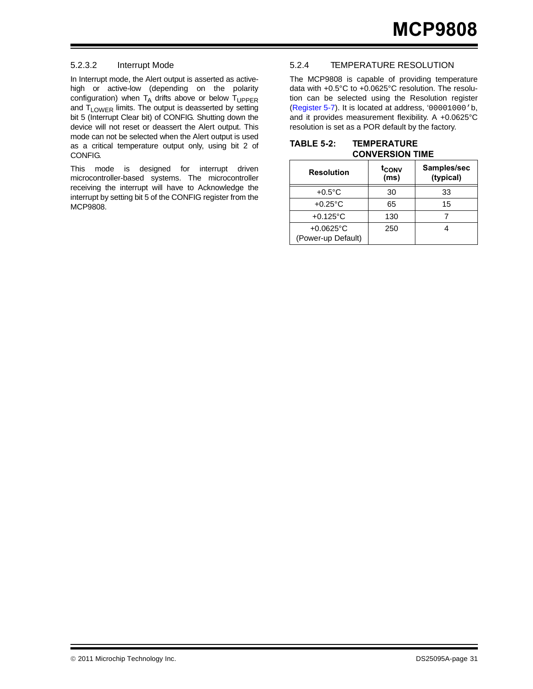#### 5.2.3.2 Interrupt Mode

In Interrupt mode, the Alert output is asserted as activehigh or active-low (depending on the polarity configuration) when  $T_A$  drifts above or below  $T_{\text{UPPER}}$ and  $T_{\text{LOWER}}$  limits. The output is deasserted by setting bit 5 (Interrupt Clear bit) of CONFIG. Shutting down the device will not reset or deassert the Alert output. This mode can not be selected when the Alert output is used as a critical temperature output only, using bit 2 of CONFIG.

This mode is designed for interrupt driven microcontroller-based systems. The microcontroller receiving the interrupt will have to Acknowledge the interrupt by setting bit 5 of the CONFIG register from the MCP9808.

#### <span id="page-30-0"></span>5.2.4 TEMPERATURE RESOLUTION

The MCP9808 is capable of providing temperature data with +0.5°C to +0.0625°C resolution. The resolution can be selected using the Resolution register ([Register 5-7\)](#page-28-0). It is located at address, '00001000'b, and it provides measurement flexibility. A +0.0625°C resolution is set as a POR default by the factory.

| <b>TABLE 5-2:</b> | <b>TEMPERATURE</b>     |
|-------------------|------------------------|
|                   | <b>CONVERSION TIME</b> |

| <b>Resolution</b>                  | t <sub>conv</sub><br>(ms) | Samples/sec<br>(typical) |
|------------------------------------|---------------------------|--------------------------|
| $+0.5^{\circ}$ C                   | 30                        | 33                       |
| $+0.25$ °C                         | 65                        | 15                       |
| $+0.125$ °C                        | 130                       |                          |
| $+0.0625$ °C<br>(Power-up Default) | 250                       |                          |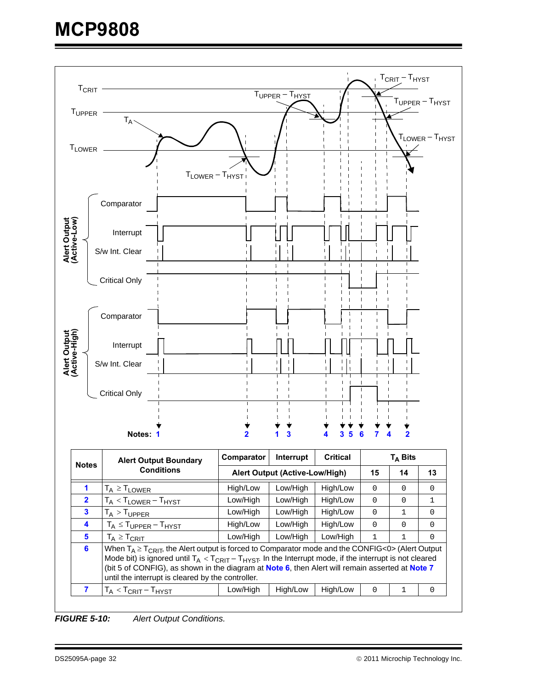

<span id="page-31-0"></span>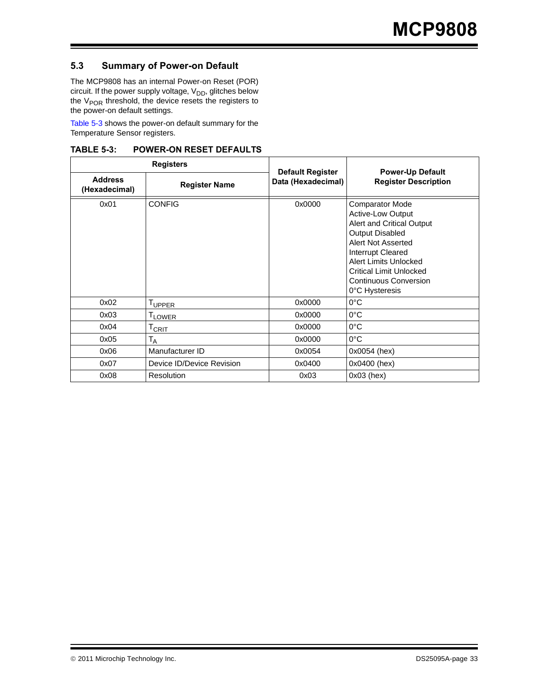## <span id="page-32-0"></span>**5.3 Summary of Power-on Default**

The MCP9808 has an internal Power-on Reset (POR) circuit. If the power supply voltage,  $V_{DD}$ , glitches below the  $V_{POR}$  threshold, the device resets the registers to the power-on default settings.

[Table 5-3](#page-32-1) shows the power-on default summary for the Temperature Sensor registers.

<span id="page-32-1"></span>

| <b>TABLE 5-3:</b> | <b>POWER-ON RESET DEFAULTS</b> |  |
|-------------------|--------------------------------|--|
|                   |                                |  |

| <b>Registers</b>                |                           |                                               | <b>Power-Up Default</b>                                                                                                                                                                                                                                           |  |
|---------------------------------|---------------------------|-----------------------------------------------|-------------------------------------------------------------------------------------------------------------------------------------------------------------------------------------------------------------------------------------------------------------------|--|
| <b>Address</b><br>(Hexadecimal) | <b>Register Name</b>      | <b>Default Register</b><br>Data (Hexadecimal) | <b>Register Description</b>                                                                                                                                                                                                                                       |  |
| 0x01                            | <b>CONFIG</b>             | 0x0000                                        | <b>Comparator Mode</b><br><b>Active-Low Output</b><br>Alert and Critical Output<br><b>Output Disabled</b><br>Alert Not Asserted<br>Interrupt Cleared<br>Alert Limits Unlocked<br><b>Critical Limit Unlocked</b><br><b>Continuous Conversion</b><br>0°C Hysteresis |  |
| 0x02                            | T <sub>UPPER</sub>        | 0x0000                                        | $0^{\circ}$ C                                                                                                                                                                                                                                                     |  |
| 0x03                            | T <sub>LOWER</sub>        | 0x0000                                        | $0^{\circ}$ C                                                                                                                                                                                                                                                     |  |
| 0x04                            | $T_{CRIT}$                | 0x0000                                        | $0^{\circ}$ C                                                                                                                                                                                                                                                     |  |
| 0x05                            | $\mathsf{T}_\mathsf{A}$   | 0x0000                                        | $0^{\circ}$ C                                                                                                                                                                                                                                                     |  |
| 0x06                            | Manufacturer ID           | 0x0054                                        | $0x0054$ (hex)                                                                                                                                                                                                                                                    |  |
| 0x07                            | Device ID/Device Revision | 0x0400                                        | 0x0400 (hex)                                                                                                                                                                                                                                                      |  |
| 0x08                            | <b>Resolution</b>         | 0x03                                          | $0x03$ (hex)                                                                                                                                                                                                                                                      |  |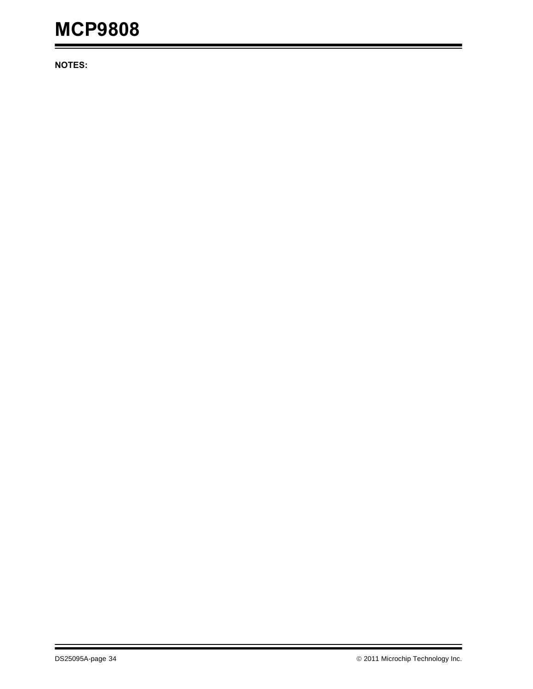**NOTES:**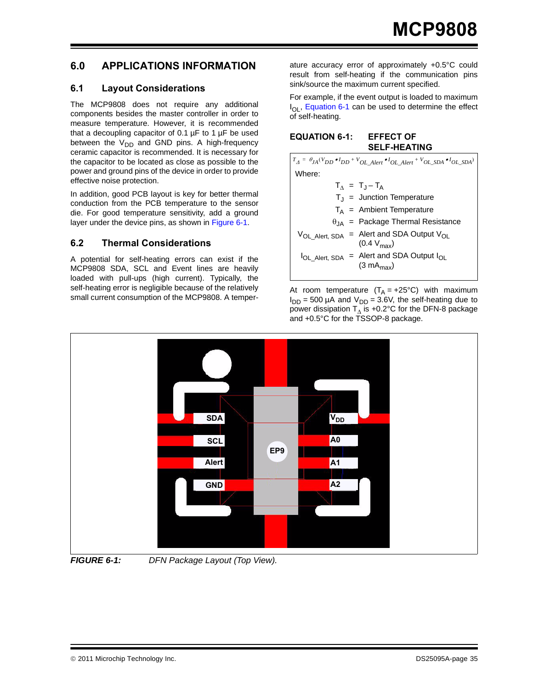## **6.0 APPLICATIONS INFORMATION**

#### **6.1 Layout Considerations**

The MCP9808 does not require any additional components besides the master controller in order to measure temperature. However, it is recommended that a decoupling capacitor of  $0.1 \mu F$  to 1  $\mu F$  be used between the  $V_{DD}$  and GND pins. A high-frequency ceramic capacitor is recommended. It is necessary for the capacitor to be located as close as possible to the power and ground pins of the device in order to provide effective noise protection.

In addition, good PCB layout is key for better thermal conduction from the PCB temperature to the sensor die. For good temperature sensitivity, add a ground layer under the device pins, as shown in [Figure 6-1](#page-34-0).

#### **6.2 Thermal Considerations**

A potential for self-heating errors can exist if the MCP9808 SDA, SCL and Event lines are heavily loaded with pull-ups (high current). Typically, the self-heating error is negligible because of the relatively small current consumption of the MCP9808. A temperature accuracy error of approximately +0.5°C could result from self-heating if the communication pins sink/source the maximum current specified.

For example, if the event output is loaded to maximum  $I_{\text{OI}}$ , [Equation 6-1](#page-34-1) can be used to determine the effect of self-heating.

#### <span id="page-34-1"></span>**EQUATION 6-1: EFFECT OF SELF-HEATING**

At room temperature  $(T_A = +25^{\circ}C)$  with maximum  $I_{DD}$  = 500 µA and  $V_{DD}$  = 3.6V, the self-heating due to power dissipation  $T_A$  is +0.2°C for the DFN-8 package and +0.5°C for the TSSOP-8 package.



<span id="page-34-0"></span>

*FIGURE 6-1: DFN Package Layout (Top View).*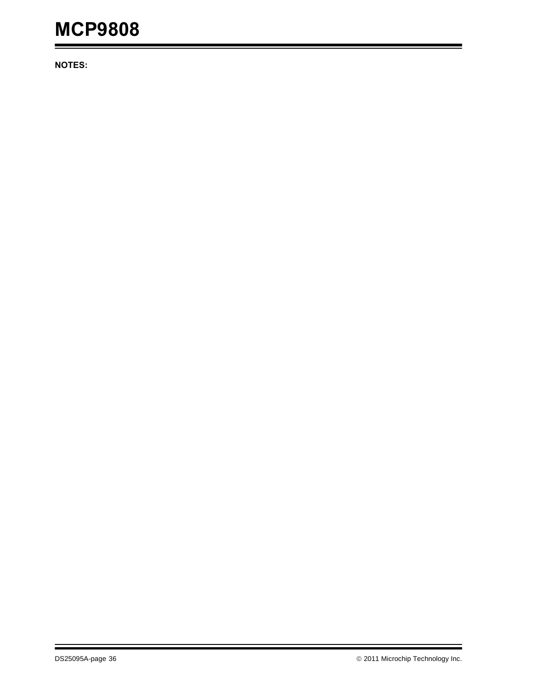**NOTES:**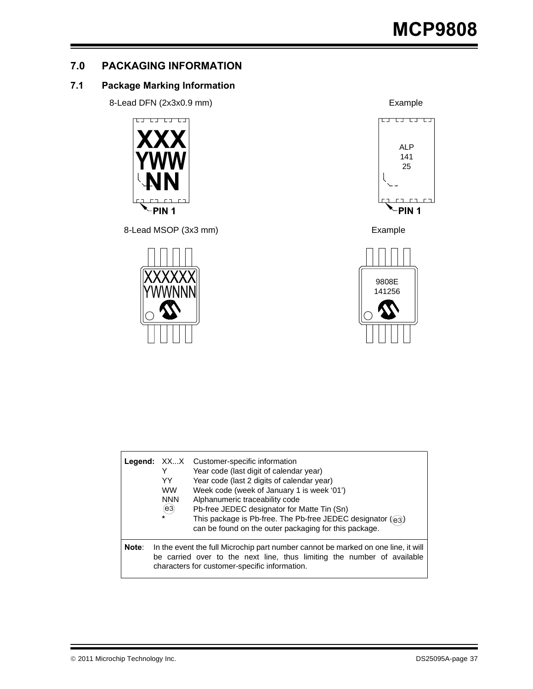## **7.0 PACKAGING INFORMATION**

### **7.1 Package Marking Information**

8-Lead DFN (2x3x0.9 mm) example



8-Lead MSOP (3x3 mm) Example







|       | YY<br><b>WW</b><br><b>NNN</b><br>(e3)<br>$\star$ | <b>Legend:</b> XXX Customer-specific information<br>Year code (last digit of calendar year)<br>Year code (last 2 digits of calendar year)<br>Week code (week of January 1 is week '01')<br>Alphanumeric traceability code<br>Pb-free JEDEC designator for Matte Tin (Sn)<br>This package is Pb-free. The Pb-free JEDEC designator $(q_3)$<br>can be found on the outer packaging for this package. |
|-------|--------------------------------------------------|----------------------------------------------------------------------------------------------------------------------------------------------------------------------------------------------------------------------------------------------------------------------------------------------------------------------------------------------------------------------------------------------------|
| Note: |                                                  | In the event the full Microchip part number cannot be marked on one line, it will<br>be carried over to the next line, thus limiting the number of available<br>characters for customer-specific information.                                                                                                                                                                                      |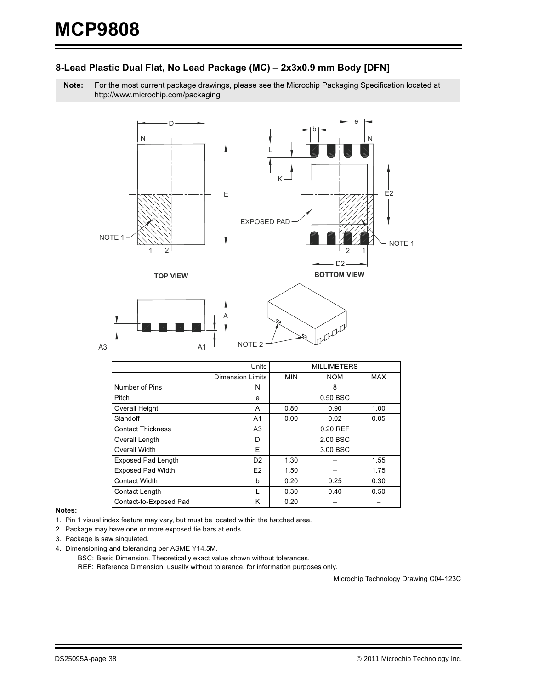### 8-Lead Plastic Dual Flat, No Lead Package (MC) – 2x3x0.9 mm Body [DFN]

Note: For the most current package drawings, please see the Microchip Packaging Specification located at http://www.microchip.com/packaging



| Units                     |                | <b>MILLIMETERS</b>              |          |      |
|---------------------------|----------------|---------------------------------|----------|------|
| <b>Dimension Limits</b>   |                | <b>MIN</b><br><b>NOM</b><br>MAX |          |      |
| Number of Pins            | N              | 8                               |          |      |
| Pitch                     | e              | 0.50 BSC                        |          |      |
| <b>Overall Height</b>     | A              | 0.80<br>0.90<br>1.00            |          |      |
| Standoff                  | A1             | 0.00<br>0.05<br>0.02            |          |      |
| <b>Contact Thickness</b>  | A <sub>3</sub> | 0.20 REF                        |          |      |
| Overall Length            | D              | 2.00 BSC                        |          |      |
| Overall Width             | Е              |                                 | 3.00 BSC |      |
| <b>Exposed Pad Length</b> | D <sub>2</sub> | 1.30<br>1.55                    |          |      |
| <b>Exposed Pad Width</b>  | E <sub>2</sub> | 1.50                            |          | 1.75 |
| <b>Contact Width</b>      | b              | 0.20<br>0.25<br>0.30            |          |      |
| Contact Length            |                | 0.30<br>0.40<br>0.50            |          |      |
| Contact-to-Exposed Pad    | K              | 0.20                            |          |      |

#### Notes:

1. Pin 1 visual index feature may vary, but must be located within the hatched area.

- 2. Package may have one or more exposed tie bars at ends.
- 3. Package is saw singulated.
- 4. Dimensioning and tolerancing per ASME Y14.5M.
	- BSC: Basic Dimension. Theoretically exact value shown without tolerances.

REF: Reference Dimension, usually without tolerance, for information purposes only.

Microchip Technology Drawing C04-123C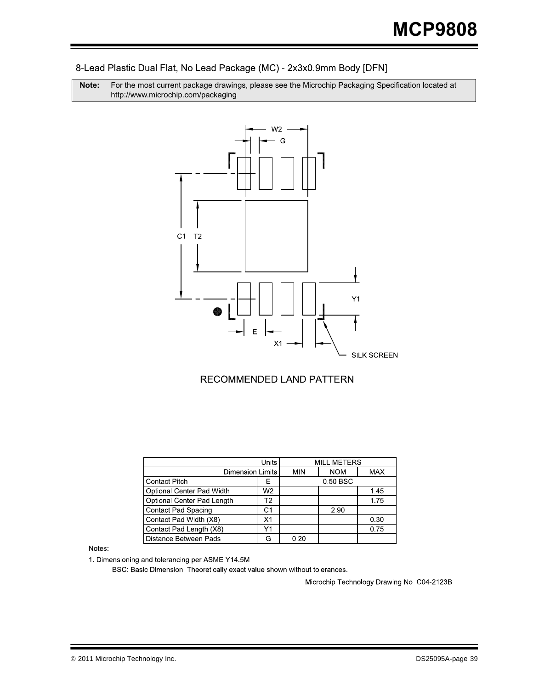8-Lead Plastic Dual Flat, No Lead Package (MC) - 2x3x0.9mm Body [DFN]

**Note:** For the most current package drawings, please see the Microchip Packaging Specification located at http://www.microchip.com/packaging



### RECOMMENDED LAND PATTERN

|                            | <b>MILLIMETERS</b> |          |            |            |
|----------------------------|--------------------|----------|------------|------------|
| <b>Dimension Limits</b>    |                    | MIN      | <b>NOM</b> | <b>MAX</b> |
| <b>Contact Pitch</b>       | F                  | 0.50 BSC |            |            |
| Optional Center Pad Width  | W <sub>2</sub>     |          |            | 1.45       |
| Optional Center Pad Length | Т2                 | 1.75     |            |            |
| <b>Contact Pad Spacing</b> | C1                 |          | 2.90       |            |
| Contact Pad Width (X8)     | X <sub>1</sub>     |          |            | 0.30       |
| Contact Pad Length (X8)    | Υ1                 |          |            | 0.75       |
| Distance Between Pads      |                    | 0.20     |            |            |

Notes:

1. Dimensioning and tolerancing per ASME Y14.5M

BSC: Basic Dimension. Theoretically exact value shown without tolerances.

Microchip Technology Drawing No. C04-2123B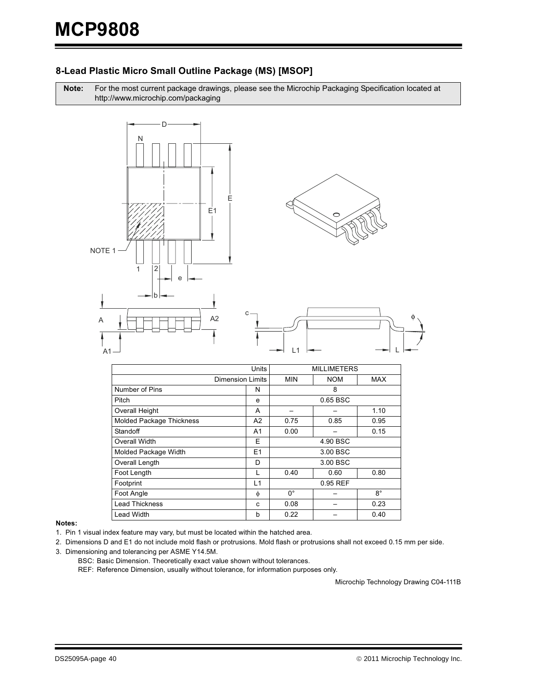#### **8-Lead Plastic Micro Small Outline Package (MS) [MSOP]**

Note: For the most current package drawings, please see the Microchip Packaging Specification located at http://www.microchip.com/packaging



|                                 | Units                   |                            | <b>MILLIMETERS</b> |            |  |
|---------------------------------|-------------------------|----------------------------|--------------------|------------|--|
|                                 | <b>Dimension Limits</b> |                            | <b>NOM</b>         | <b>MAX</b> |  |
| Number of Pins                  | N                       | 8                          |                    |            |  |
| Pitch                           | e                       | 0.65 BSC                   |                    |            |  |
| Overall Height                  | A                       | 1.10                       |                    |            |  |
| <b>Molded Package Thickness</b> | A2                      | 0.75                       | 0.85               | 0.95       |  |
| Standoff                        | A <sub>1</sub>          | 0.00                       |                    | 0.15       |  |
| Overall Width                   | E                       | 4.90 BSC                   |                    |            |  |
| Molded Package Width            | E <sub>1</sub>          | 3.00 BSC                   |                    |            |  |
| Overall Length                  | D                       |                            | 3.00 BSC           |            |  |
| Foot Length                     | L                       | 0.40                       | 0.60               | 0.80       |  |
| Footprint                       | L1                      | 0.95 REF                   |                    |            |  |
| Foot Angle                      | φ                       | $0^{\circ}$<br>$8^{\circ}$ |                    |            |  |
| <b>Lead Thickness</b>           | C                       | 0.08<br>0.23               |                    |            |  |
| <b>Lead Width</b>               | b                       | 0.22                       |                    | 0.40       |  |

#### Notes:

1. Pin 1 visual index feature may vary, but must be located within the hatched area.

2. Dimensions D and E1 do not include mold flash or protrusions. Mold flash or protrusions shall not exceed 0.15 mm per side. 3. Dimensioning and tolerancing per ASME Y14.5M.

BSC: Basic Dimension. Theoretically exact value shown without tolerances.

REF: Reference Dimension, usually without tolerance, for information purposes only.

Microchip Technology Drawing C04-111B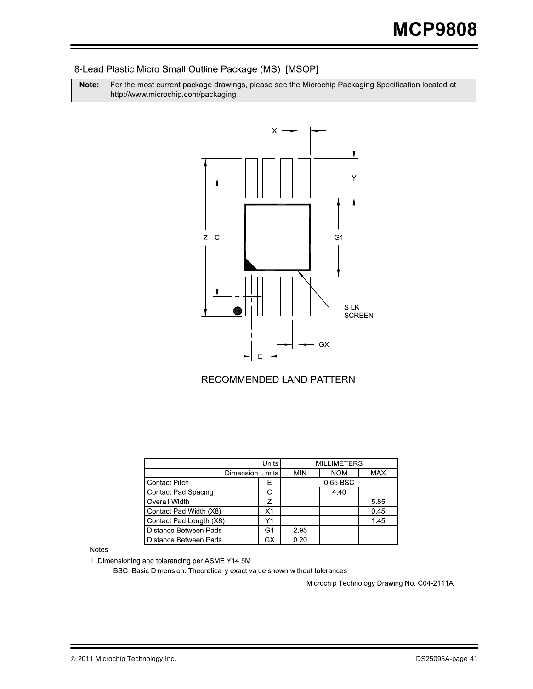#### 8-Lead Plastic Micro Small Outline Package (MS) [MSOP]

**Note:** For the most current package drawings, please see the Microchip Packaging Specification located at http://www.microchip.com/packaging



### RECOMMENDED LAND PATTERN

| Units                      |    | <b>MILLIMETERS</b> |            |            |
|----------------------------|----|--------------------|------------|------------|
| <b>Dimension Limits</b>    |    | <b>MIN</b>         | <b>NOM</b> | <b>MAX</b> |
| <b>Contact Pitch</b>       | Е  |                    | 0.65 BSC   |            |
| <b>Contact Pad Spacing</b> | C. |                    | 4.40       |            |
| Overall Width              | 7  |                    |            | 5.85       |
| Contact Pad Width (X8)     | X1 |                    |            | 0.45       |
| Contact Pad Length (X8)    | Υ1 |                    |            | 1.45       |
| Distance Between Pads      | G1 | 2.95               |            |            |
| Distance Between Pads      | GX | 0.20               |            |            |

#### Notes:

1. Dimensioning and tolerancing per ASME Y14.5M

BSC: Basic Dimension. Theoretically exact value shown without tolerances.

Microchip Technology Drawing No. C04-2111A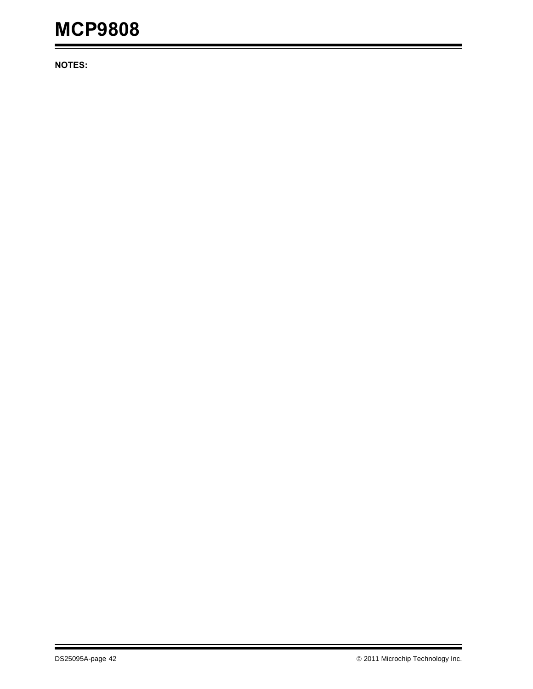**NOTES:**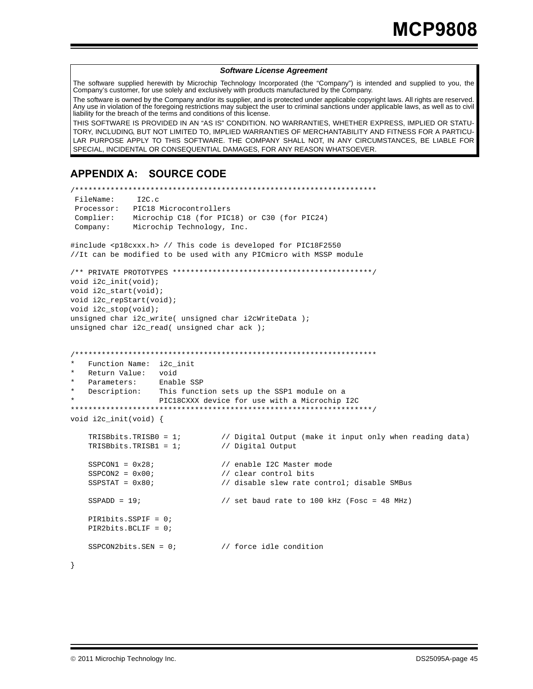#### *Software License Agreement*

The software supplied herewith by Microchip Technology Incorporated (the "Company") is intended and supplied to you, the Company's customer, for use solely and exclusively with products manufactured by the Company.

The software is owned by the Company and/or its supplier, and is protected under applicable copyright laws. All rights are reserved. Any use in violation of the foregoing restrictions may subject the user to criminal sanctions under applicable laws, as well as to civil liability for the breach of the terms and conditions of this license.

THIS SOFTWARE IS PROVIDED IN AN "AS IS" CONDITION. NO WARRANTIES, WHETHER EXPRESS, IMPLIED OR STATU-TORY, INCLUDING, BUT NOT LIMITED TO, IMPLIED WARRANTIES OF MERCHANTABILITY AND FITNESS FOR A PARTICU-LAR PURPOSE APPLY TO THIS SOFTWARE. THE COMPANY SHALL NOT, IN ANY CIRCUMSTANCES, BE LIABLE FOR SPECIAL, INCIDENTAL OR CONSEQUENTIAL DAMAGES, FOR ANY REASON WHATSOEVER.

## <span id="page-42-0"></span>**APPENDIX A: SOURCE CODE**

```
/********************************************************************
  FileName: I2C.c
  Processor: PIC18 Microcontrollers
  Complier: Microchip C18 (for PIC18) or C30 (for PIC24)
  Company: Microchip Technology, Inc.
#include <p18cxxx.h> // This code is developed for PIC18F2550
//It can be modified to be used with any PICmicro with MSSP module
/** PRIVATE PROTOTYPES *********************************************/
void i2c_init(void);
void i2c_start(void);
void i2c_repStart(void);
void i2c_stop(void);
unsigned char i2c_write( unsigned char i2cWriteData );
unsigned char i2c_read( unsigned char ack );
/********************************************************************
   Function Name: i2c_init
   Return Value: void
   Parameters: Enable SSP
   Description: This function sets up the SSP1 module on a
                  PIC18CXXX device for use with a Microchip I2C
********************************************************************/
void i2c_init(void) {
     TRISBbits.TRISB0 = 1; // Digital Output (make it input only when reading data)
    TRISBbits.TRISB1 = 1; // Digital Output
   SSPCON1 = 0x28; \frac{1}{2} // enable I2C Master mode
    SSPCON2 = 0x00; \frac{1}{2} // clear control bits
    SSPSTAT = 0x80; \frac{1}{2} // disable slew rate control; disable SMBus
   SSPADD = 19; \frac{1}{2} // set baud rate to 100 kHz (Fosc = 48 MHz)
    PIR1bits.SSPIF = 0;
     PIR2bits.BCLIF = 0;
   SSPCON2bits.SEN = 0; // force idle condition
}
```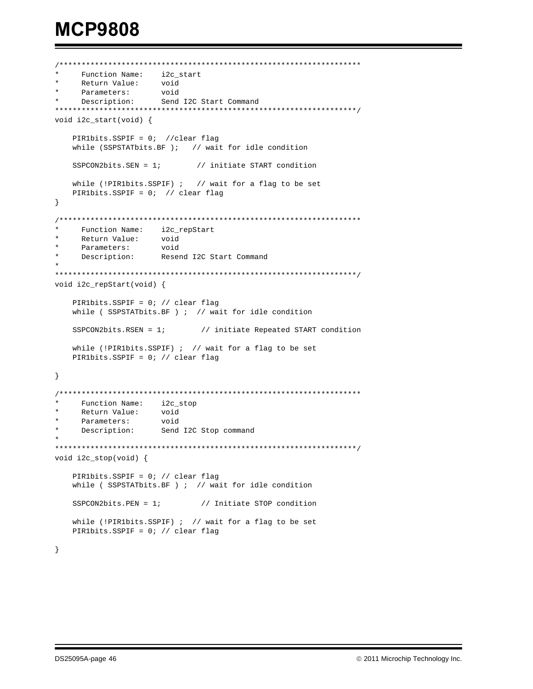```
/********************************************************************
     Function Name: i2c_start
* Return Value: void 
* Parameters: void 
* Description: Send I2C Start Command
********************************************************************/
void i2c_start(void) {
    PIR1bits.SSPIF = 0; //clear flag
    while (SSPSTATbits.BF ); // wait for idle condition
   SSPCON2bits.SEN = 1; // initiate START condition
   while (!PIR1bits.SSPIF) ; \quad // wait for a flag to be set
    PIR1bits.SSPIF = 0; // clear flag
} 
/********************************************************************
     Function Name: i2c_repStart
* Return Value: void 
* Parameters: void 
* Description: Resend I2C Start Command
*
********************************************************************/
void i2c_repStart(void) {
    PIR1bits.SSPIF = 0; // clear flag
   while ( SSPSTATbits.BF ) ; // wait for idle condition
   SSPCON2bits.RSEN = 1; \qquad // initiate Repeated START condition
   while (!PIR1bits.SSPIF) ; // wait for a flag to be set
    PIR1bits.SSPIF = 0; // clear flag
}
/********************************************************************
* Function Name: i2c_stop
* Return Value:
     Parameters: void<br>Description: Send
                      Send I2C Stop command
*
********************************************************************/
void i2c_stop(void) {
    PIR1bits.SSPIF = 0; // clear flag
   while ( SSPSTATbits.BF ) ; // wait for idle condition
   SSPCON2bits.PEN = 1; // Initiate STOP condition
   while (!PIR1bits.SSPIF) ; // wait for a flag to be set
    PIR1bits.SSPIF = 0; // clear flag
}
```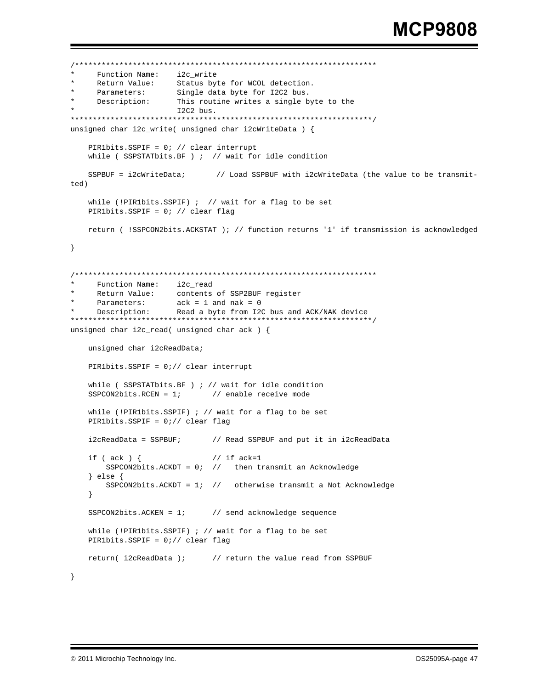```
/********************************************************************
     Function Name: i2c_write
* Return Value: Status byte for WCOL detection. 
* Parameters: Single data byte for I2C2 bus. 
     Description: This routine writes a single byte to the
                       I2C2 bus.
********************************************************************/
unsigned char i2c_write( unsigned char i2cWriteData ) {
     PIR1bits.SSPIF = 0; // clear interrupt
   while ( SSPSTATbits.BF ) ; // wait for idle condition
    SSPBUF = i2cWriteData; // Load SSPBUF with i2cWriteData (the value to be transmit-
ted)
   while (!PIR1bits.SSPIF) ; \frac{1}{2} wait for a flag to be set
    PIR1bits.SSPIF = 0; // clear flag
    return ( !SSPCON2bits.ACKSTAT ); // function returns '1' if transmission is acknowledged
}
/********************************************************************
     Function Name: i2c_read
     Return Value: contents of SSP2BUF register
     Parameters: ack = 1 and nak = 0
     Description: Read a byte from I2C bus and ACK/NAK device
********************************************************************/
unsigned char i2c_read( unsigned char ack ) {
     unsigned char i2cReadData;
     PIR1bits.SSPIF = 0;// clear interrupt
    while ( SSPSTATbits.BF ) ; // wait for idle condition
     SSPCON2bits.RCEN = 1; // enable receive mode
     while (!PIR1bits.SSPIF) ; // wait for a flag to be set
    PIR1bits.SSPIF = 0;// clear flag
     i2cReadData = SSPBUF; // Read SSPBUF and put it in i2cReadData
    if ( ack ) { // if ack=1 SSPCON2bits.ACKDT = 0; // then transmit an Acknowledge
     } else {
        SSPCON2bits.ACKDT = 1; // otherwise transmit a Not Acknowledge
     }
    SSPCON2bits.ACKEN = 1; // send acknowledge sequence
    while (!PIR1bits.SSPIF) ; // wait for a flag to be set
    PIR1bits.SSPIF = 0;// clear flag
    return( i2cReadData ); // return the value read from SSPBUF
}
```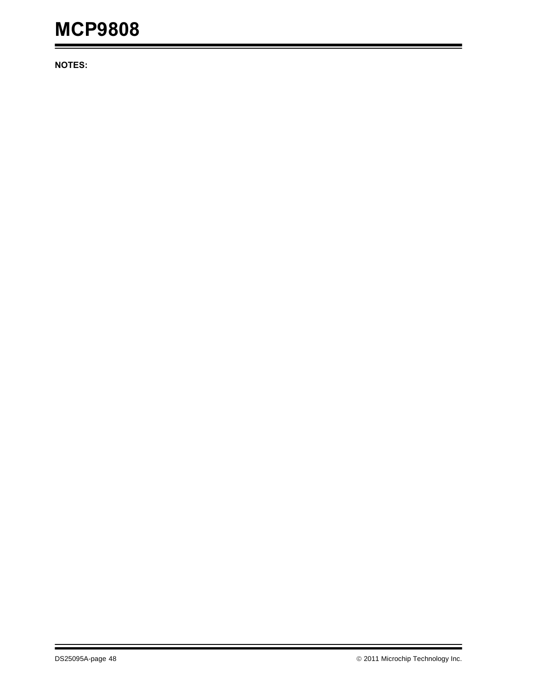**NOTES:**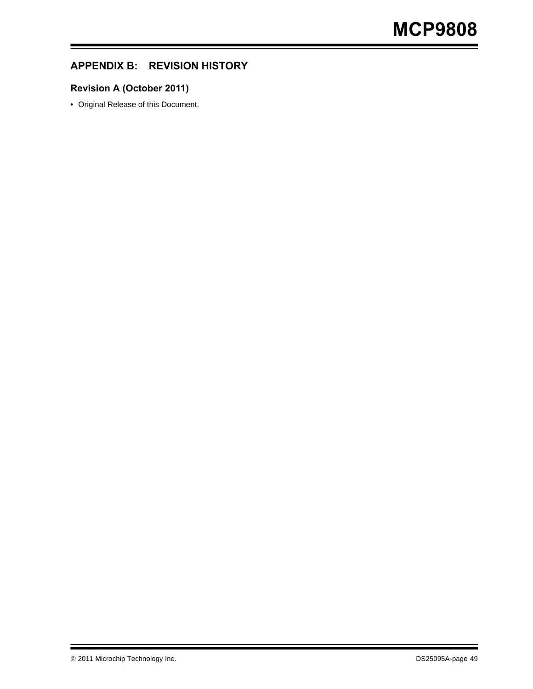## **APPENDIX B: REVISION HISTORY**

## **Revision A (October 2011)**

• Original Release of this Document.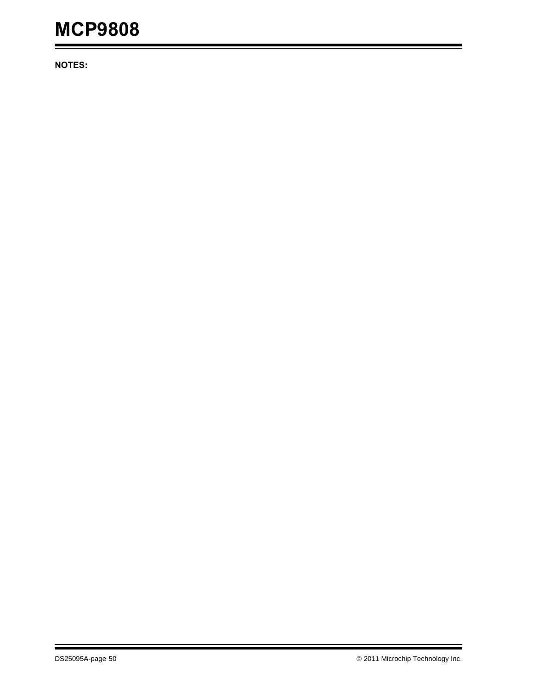**NOTES:**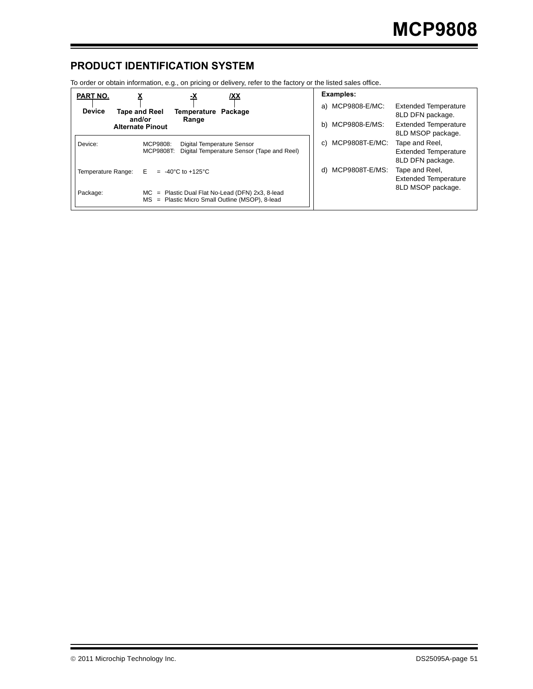## **PRODUCT IDENTIFICATION SYSTEM**

To order or obtain information, e.g., on pricing or delivery, refer to the factory or the listed sales office.

| <b>PART NO.</b>    | IXX<br><u>-x</u>                                                                                         | Examples:         |                                                                   |
|--------------------|----------------------------------------------------------------------------------------------------------|-------------------|-------------------------------------------------------------------|
| <b>Device</b>      | Tape and Reel<br>Package<br>Temperature<br>and/or<br>Range                                               | a) MCP9808-E/MC:  | <b>Extended Temperature</b><br>8LD DFN package.                   |
|                    | <b>Alternate Pinout</b>                                                                                  | b) MCP9808-E/MS:  | <b>Extended Temperature</b><br>8LD MSOP package.                  |
| Device:            | Digital Temperature Sensor<br>MCP9808:<br>Digital Temperature Sensor (Tape and Reel)<br>MCP9808T:        | c) MCP9808T-E/MC: | Tape and Reel,<br><b>Extended Temperature</b><br>8LD DFN package. |
| Temperature Range: | $= -40^{\circ}$ C to +125 °C<br>E.                                                                       | d) MCP9808T-E/MS: | Tape and Reel,<br><b>Extended Temperature</b>                     |
| Package:           | $MC$ = Plastic Dual Flat No-Lead (DFN) 2x3, 8-lead<br>= Plastic Micro Small Outline (MSOP), 8-lead<br>МS |                   | 8LD MSOP package.                                                 |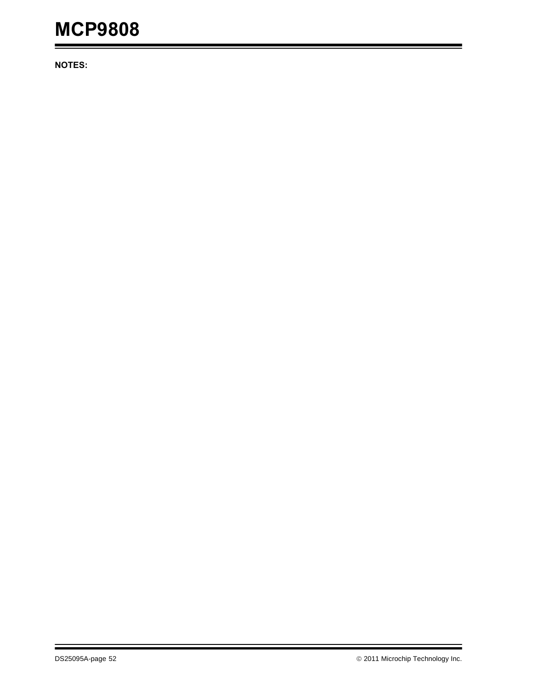**NOTES:**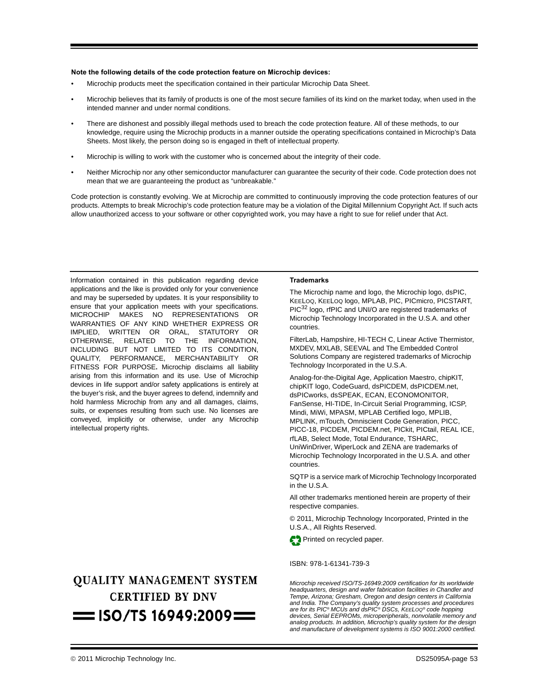#### **Note the following details of the code protection feature on Microchip devices:**

- Microchip products meet the specification contained in their particular Microchip Data Sheet.
- Microchip believes that its family of products is one of the most secure families of its kind on the market today, when used in the intended manner and under normal conditions.
- There are dishonest and possibly illegal methods used to breach the code protection feature. All of these methods, to our knowledge, require using the Microchip products in a manner outside the operating specifications contained in Microchip's Data Sheets. Most likely, the person doing so is engaged in theft of intellectual property.
- Microchip is willing to work with the customer who is concerned about the integrity of their code.
- Neither Microchip nor any other semiconductor manufacturer can guarantee the security of their code. Code protection does not mean that we are guaranteeing the product as "unbreakable."

Code protection is constantly evolving. We at Microchip are committed to continuously improving the code protection features of our products. Attempts to break Microchip's code protection feature may be a violation of the Digital Millennium Copyright Act. If such acts allow unauthorized access to your software or other copyrighted work, you may have a right to sue for relief under that Act.

Information contained in this publication regarding device applications and the like is provided only for your convenience and may be superseded by updates. It is your responsibility to ensure that your application meets with your specifications. MICROCHIP MAKES NO REPRESENTATIONS OR WARRANTIES OF ANY KIND WHETHER EXPRESS OR IMPLIED, WRITTEN OR ORAL, STATUTORY OR OTHERWISE, RELATED TO THE INFORMATION, INCLUDING BUT NOT LIMITED TO ITS CONDITION, QUALITY, PERFORMANCE, MERCHANTABILITY OR FITNESS FOR PURPOSE**.** Microchip disclaims all liability arising from this information and its use. Use of Microchip devices in life support and/or safety applications is entirely at the buyer's risk, and the buyer agrees to defend, indemnify and hold harmless Microchip from any and all damages, claims, suits, or expenses resulting from such use. No licenses are conveyed, implicitly or otherwise, under any Microchip intellectual property rights.

## **OUALITY MANAGEMENT SYSTEM CERTIFIED BY DNV**  $=$  ISO/TS 16949:2009 $=$

#### **Trademarks**

The Microchip name and logo, the Microchip logo, dsPIC, KEELOQ, KEELOQ logo, MPLAB, PIC, PICmicro, PICSTART, PIC<sup>32</sup> logo, rfPIC and UNI/O are registered trademarks of Microchip Technology Incorporated in the U.S.A. and other countries.

FilterLab, Hampshire, HI-TECH C, Linear Active Thermistor, MXDEV, MXLAB, SEEVAL and The Embedded Control Solutions Company are registered trademarks of Microchip Technology Incorporated in the U.S.A.

Analog-for-the-Digital Age, Application Maestro, chipKIT, chipKIT logo, CodeGuard, dsPICDEM, dsPICDEM.net, dsPICworks, dsSPEAK, ECAN, ECONOMONITOR, FanSense, HI-TIDE, In-Circuit Serial Programming, ICSP, Mindi, MiWi, MPASM, MPLAB Certified logo, MPLIB, MPLINK, mTouch, Omniscient Code Generation, PICC, PICC-18, PICDEM, PICDEM.net, PICkit, PICtail, REAL ICE, rfLAB, Select Mode, Total Endurance, TSHARC, UniWinDriver, WiperLock and ZENA are trademarks of Microchip Technology Incorporated in the U.S.A. and other countries.

SQTP is a service mark of Microchip Technology Incorporated in the U.S.A.

All other trademarks mentioned herein are property of their respective companies.

© 2011, Microchip Technology Incorporated, Printed in the U.S.A., All Rights Reserved.



#### ISBN: 978-1-61341-739-3

*Microchip received ISO/TS-16949:2009 certification for its worldwide headquarters, design and wafer fabrication facilities in Chandler and Tempe, Arizona; Gresham, Oregon and design centers in California and India. The Company's quality system processes and procedures are for its PIC® MCUs and dsPIC® DSCs, KEELOQ® code hopping devices, Serial EEPROMs, microperipherals, nonvolatile memory and analog products. In addition, Microchip's quality system for the design and manufacture of development systems is ISO 9001:2000 certified.*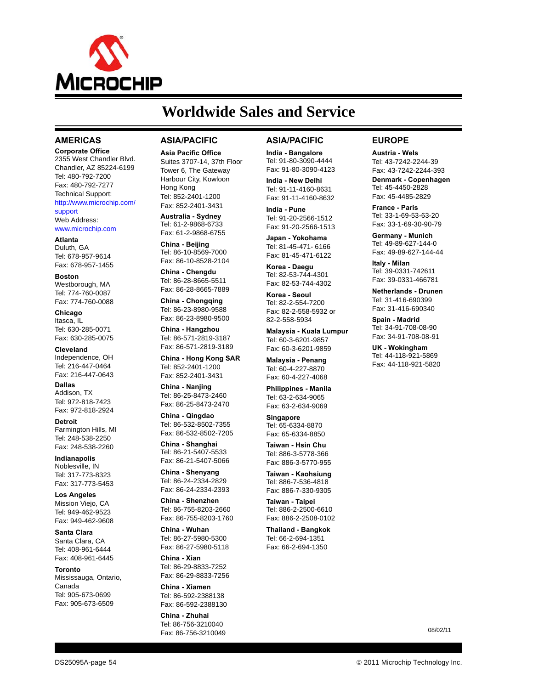

## **Worldwide Sales and Service**

#### **AMERICAS**

**Corporate Office** 2355 West Chandler Blvd. Chandler, AZ 85224-6199 Tel: 480-792-7200 Fax: 480-792-7277 Technical Support: [http://www.microchip.com/](http://support.microchip.com) support

Web Address: www.microchip.com

**Atlanta** Duluth, GA Tel: 678-957-9614 Fax: 678-957-1455

**Boston** Westborough, MA Tel: 774-760-0087 Fax: 774-760-0088

**Chicago** Itasca, IL Tel: 630-285-0071 Fax: 630-285-0075

**Cleveland** Independence, OH Tel: 216-447-0464 Fax: 216-447-0643

**Dallas** Addison, TX Tel: 972-818-7423 Fax: 972-818-2924

**Detroit** Farmington Hills, MI Tel: 248-538-2250 Fax: 248-538-2260

**Indianapolis** Noblesville, IN Tel: 317-773-8323 Fax: 317-773-5453

**Los Angeles** Mission Viejo, CA Tel: 949-462-9523 Fax: 949-462-9608

**Santa Clara** Santa Clara, CA Tel: 408-961-6444 Fax: 408-961-6445

**Toronto** Mississauga, Ontario, Canada Tel: 905-673-0699 Fax: 905-673-6509

#### **ASIA/PACIFIC**

**Asia Pacific Office** Suites 3707-14, 37th Floor Tower 6, The Gateway Harbour City, Kowloon Hong Kong Tel: 852-2401-1200 Fax: 852-2401-3431

**Australia - Sydney** Tel: 61-2-9868-6733 Fax: 61-2-9868-6755

**China - Beijing** Tel: 86-10-8569-7000 Fax: 86-10-8528-2104

**China - Chengdu** Tel: 86-28-8665-5511 Fax: 86-28-8665-7889

**China - Chongqing** Tel: 86-23-8980-9588 Fax: 86-23-8980-9500

**China - Hangzhou** Tel: 86-571-2819-3187 Fax: 86-571-2819-3189

**China - Hong Kong SAR** Tel: 852-2401-1200

Fax: 852-2401-3431 **China - Nanjing**

Tel: 86-25-8473-2460 Fax: 86-25-8473-2470 **China - Qingdao**

Tel: 86-532-8502-7355 Fax: 86-532-8502-7205

**China - Shanghai** Tel: 86-21-5407-5533 Fax: 86-21-5407-5066

**China - Shenyang** Tel: 86-24-2334-2829 Fax: 86-24-2334-2393

**China - Shenzhen** Tel: 86-755-8203-2660 Fax: 86-755-8203-1760

**China - Wuhan** Tel: 86-27-5980-5300 Fax: 86-27-5980-5118

**China - Xian** Tel: 86-29-8833-7252 Fax: 86-29-8833-7256

**China - Xiamen** Tel: 86-592-2388138 Fax: 86-592-2388130

**China - Zhuhai** Tel: 86-756-3210040 Fax: 86-756-3210049

#### **ASIA/PACIFIC**

**India - Bangalore** Tel: 91-80-3090-4444 Fax: 91-80-3090-4123

**India - New Delhi** Tel: 91-11-4160-8631 Fax: 91-11-4160-8632

**India - Pune** Tel: 91-20-2566-1512 Fax: 91-20-2566-1513

**Japan - Yokohama** Tel: 81-45-471- 6166 Fax: 81-45-471-6122

**Korea - Daegu** Tel: 82-53-744-4301 Fax: 82-53-744-4302

**Korea - Seoul** Tel: 82-2-554-7200 Fax: 82-2-558-5932 or 82-2-558-5934

**Malaysia - Kuala Lumpur** Tel: 60-3-6201-9857 Fax: 60-3-6201-9859

**Malaysia - Penang** Tel: 60-4-227-8870 Fax: 60-4-227-4068

**Philippines - Manila** Tel: 63-2-634-9065 Fax: 63-2-634-9069

**Singapore** Tel: 65-6334-8870 Fax: 65-6334-8850

**Taiwan - Hsin Chu** Tel: 886-3-5778-366 Fax: 886-3-5770-955

**Taiwan - Kaohsiung** Tel: 886-7-536-4818 Fax: 886-7-330-9305

**Taiwan - Taipei** Tel: 886-2-2500-6610 Fax: 886-2-2508-0102

**Thailand - Bangkok** Tel: 66-2-694-1351 Fax: 66-2-694-1350

#### **EUROPE**

**Austria - Wels** Tel: 43-7242-2244-39 Fax: 43-7242-2244-393 **Denmark - Copenhagen** Tel: 45-4450-2828 Fax: 45-4485-2829

**France - Paris** Tel: 33-1-69-53-63-20 Fax: 33-1-69-30-90-79

**Germany - Munich** Tel: 49-89-627-144-0 Fax: 49-89-627-144-44

**Italy - Milan**  Tel: 39-0331-742611 Fax: 39-0331-466781

**Netherlands - Drunen** Tel: 31-416-690399 Fax: 31-416-690340

**Spain - Madrid** Tel: 34-91-708-08-90 Fax: 34-91-708-08-91

**UK - Wokingham** Tel: 44-118-921-5869 Fax: 44-118-921-5820